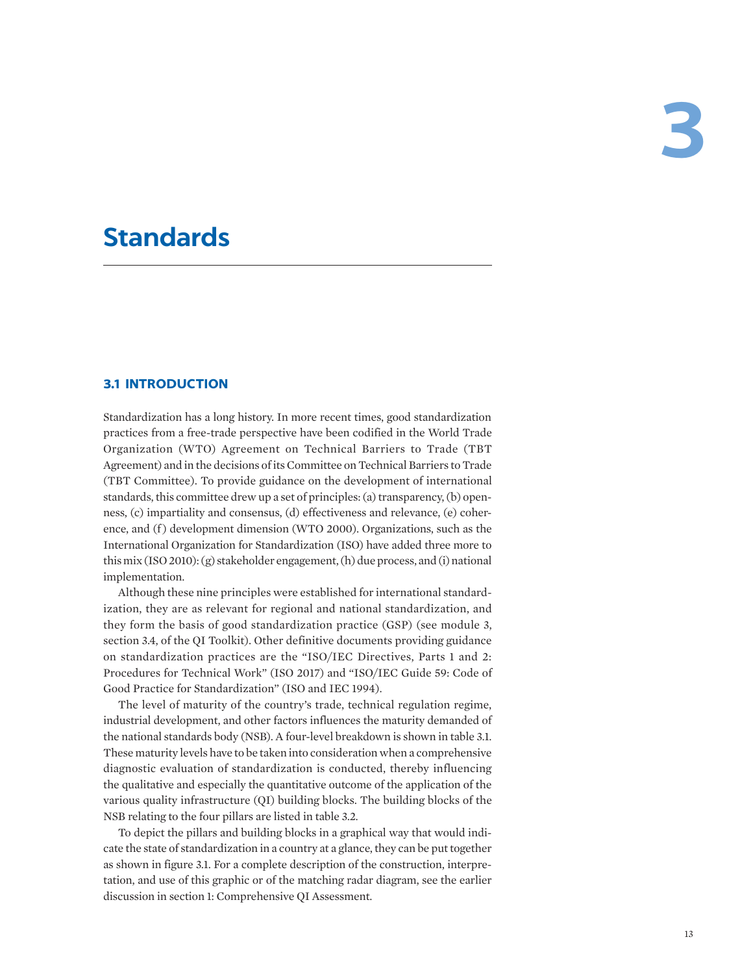# **Standards**

# **3.1 INTRODUCTION**

Standardization has a long history. In more recent times, good standardization practices from a free-trade perspective have been codified in the World Trade Organization (WTO) Agreement on Technical Barriers to Trade (TBT Agreement) and in the decisions of its Committee on Technical Barriers to Trade (TBT Committee). To provide guidance on the development of international standards, this committee drew up a set of principles: (a) transparency, (b) openness, (c) impartiality and consensus, (d) effectiveness and relevance, (e) coherence, and (f) development dimension (WTO 2000). Organizations, such as the International Organization for Standardization (ISO) have added three more to this mix (ISO 2010): (g) stakeholder engagement, (h) due process, and (i) national implementation.

Although these nine principles were established for international standardization, they are as relevant for regional and national standardization, and they form the basis of good standardization practice (GSP) (see module 3, section 3.4, of the QI Toolkit). Other definitive documents providing guidance on standardization practices are the "ISO/IEC Directives, Parts 1 and 2: Procedures for Technical Work" (ISO 2017) and "ISO/IEC Guide 59: Code of Good Practice for Standardization" (ISO and IEC 1994).

The level of maturity of the country's trade, technical regulation regime, industrial development, and other factors influences the maturity demanded of the national standards body (NSB). A four-level breakdown is shown in table 3.1. These maturity levels have to be taken into consideration when a comprehensive diagnostic evaluation of standardization is conducted, thereby influencing the qualitative and especially the quantitative outcome of the application of the various quality infrastructure (QI) building blocks. The building blocks of the NSB relating to the four pillars are listed in table 3.2.

To depict the pillars and building blocks in a graphical way that would indicate the state of standardization in a country at a glance, they can be put together as shown in figure 3.1. For a complete description of the construction, interpretation, and use of this graphic or of the matching radar diagram, see the earlier discussion in section 1: Comprehensive QI Assessment.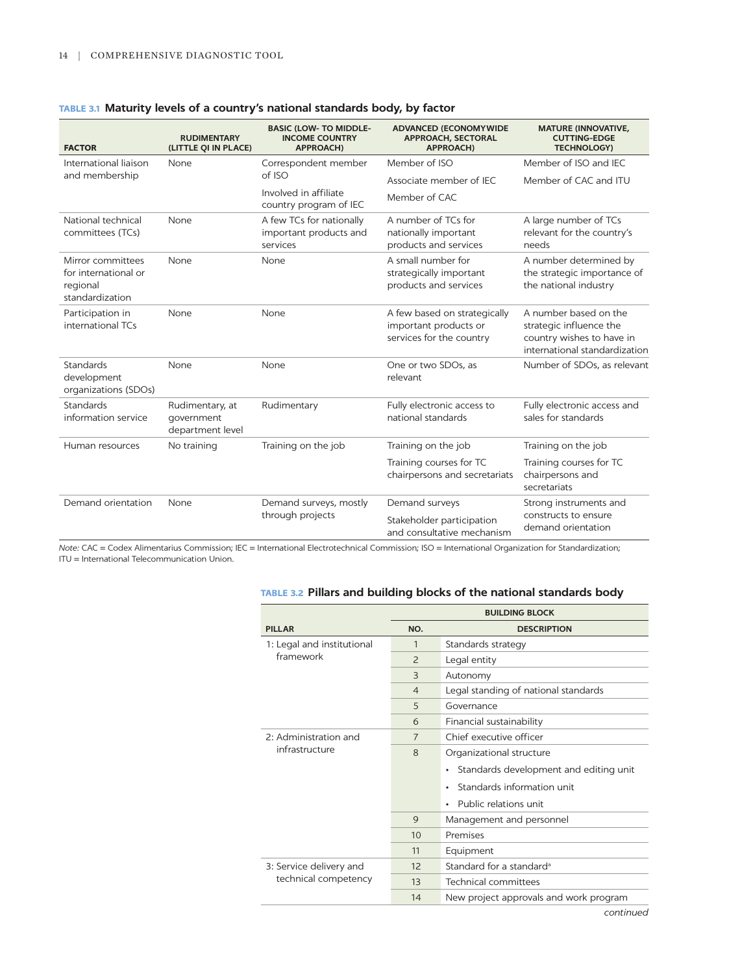| <b>FACTOR</b>                                                            | <b>RUDIMENTARY</b><br>(LITTLE QI IN PLACE)        | <b>BASIC (LOW- TO MIDDLE-</b><br><b>INCOME COUNTRY</b><br><b>APPROACH)</b> | <b>ADVANCED (ECONOMYWIDE</b><br><b>APPROACH, SECTORAL</b><br><b>APPROACH)</b>     | <b>MATURE (INNOVATIVE,</b><br><b>CUTTING-EDGE</b><br><b>TECHNOLOGY)</b>                                        |
|--------------------------------------------------------------------------|---------------------------------------------------|----------------------------------------------------------------------------|-----------------------------------------------------------------------------------|----------------------------------------------------------------------------------------------------------------|
| International liaison                                                    | None                                              | Correspondent member                                                       | Member of ISO                                                                     | Member of ISO and IEC                                                                                          |
| and membership                                                           |                                                   | of ISO                                                                     | Associate member of IEC                                                           | Member of CAC and ITU                                                                                          |
|                                                                          |                                                   | Involved in affiliate<br>country program of IEC                            | Member of CAC                                                                     |                                                                                                                |
| National technical<br>committees (TCs)                                   | None                                              | A few TCs for nationally<br>important products and<br>services             | A number of TCs for<br>nationally important<br>products and services              | A large number of TCs<br>relevant for the country's<br>needs                                                   |
| Mirror committees<br>for international or<br>regional<br>standardization | None                                              | None                                                                       | A small number for<br>strategically important<br>products and services            | A number determined by<br>the strategic importance of<br>the national industry                                 |
| Participation in<br>international TCs                                    | None                                              | None                                                                       | A few based on strategically<br>important products or<br>services for the country | A number based on the<br>strategic influence the<br>country wishes to have in<br>international standardization |
| <b>Standards</b><br>development<br>organizations (SDOs)                  | None                                              | None                                                                       | One or two SDOs, as<br>relevant                                                   | Number of SDOs, as relevant                                                                                    |
| <b>Standards</b><br>information service                                  | Rudimentary, at<br>government<br>department level | Rudimentary                                                                | Fully electronic access to<br>national standards                                  | Fully electronic access and<br>sales for standards                                                             |
| Human resources                                                          | No training                                       | Training on the job                                                        | Training on the job                                                               | Training on the job                                                                                            |
|                                                                          |                                                   |                                                                            | Training courses for TC<br>chairpersons and secretariats                          | Training courses for TC<br>chairpersons and<br>secretariats                                                    |
| Demand orientation                                                       | None                                              | Demand surveys, mostly<br>through projects                                 | Demand surveys                                                                    | Strong instruments and                                                                                         |
|                                                                          |                                                   |                                                                            | Stakeholder participation<br>and consultative mechanism                           | constructs to ensure<br>demand orientation                                                                     |

# **TABLE 3.1 Maturity levels of a country's national standards body, by factor**

*Note:* CAC = Codex Alimentarius Commission; IEC = International Electrotechnical Commission; ISO = International Organization for Standardization; ITU = International Telecommunication Union.

|                                         |                | <b>BUILDING BLOCK</b>                  |
|-----------------------------------------|----------------|----------------------------------------|
| <b>PILLAR</b>                           | NO.            | <b>DESCRIPTION</b>                     |
| 1: Legal and institutional<br>framework | $\mathbf{1}$   | Standards strategy                     |
|                                         | $\overline{2}$ | Legal entity                           |
|                                         | 3              | Autonomy                               |
|                                         | $\overline{4}$ | Legal standing of national standards   |
|                                         | 5              | Governance                             |
|                                         | 6              | Financial sustainability               |
| 2: Administration and                   | 7              | Chief executive officer                |
| infrastructure                          | $\mathsf{R}$   | Organizational structure               |
|                                         |                | Standards development and editing unit |
|                                         |                | Standards information unit             |
|                                         |                | Public relations unit                  |
|                                         | 9              | Management and personnel               |
|                                         | 10             | Premises                               |
|                                         | 11             | Equipment                              |
| 3: Service delivery and                 | 12             | Standard for a standard <sup>a</sup>   |
| technical competency                    | 13             | Technical committees                   |
|                                         | 14             | New project approvals and work program |

# **TABLE 3.2 Pillars and building blocks of the national standards body**

*continued*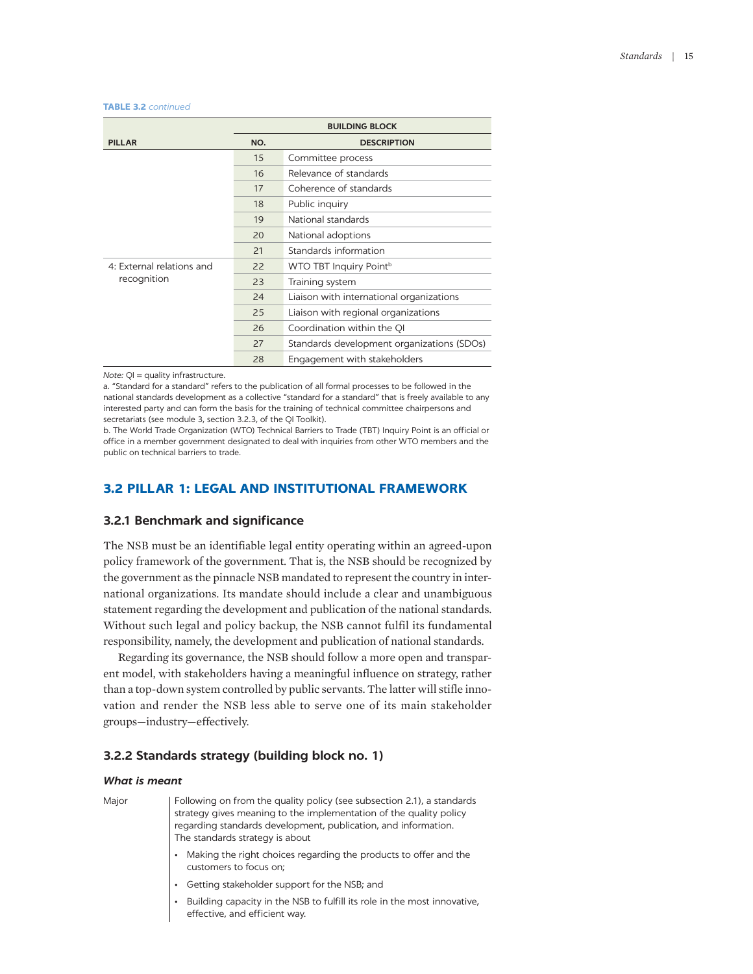| <b>TABLE 3.2</b> continued |  |  |  |  |  |  |
|----------------------------|--|--|--|--|--|--|
|----------------------------|--|--|--|--|--|--|

|                           | <b>BUILDING BLOCK</b> |                                            |  |
|---------------------------|-----------------------|--------------------------------------------|--|
| <b>PILLAR</b>             | NO.                   | <b>DESCRIPTION</b>                         |  |
|                           | 15                    | Committee process                          |  |
|                           | 16                    | Relevance of standards                     |  |
|                           | 17                    | Coherence of standards                     |  |
|                           | 18                    | Public inquiry                             |  |
|                           | 19                    | National standards                         |  |
|                           | 20                    | National adoptions                         |  |
|                           | 21                    | Standards information                      |  |
| 4: External relations and | 22                    | WTO TBT Inquiry Point <sup>b</sup>         |  |
| recognition               | 23                    | Training system                            |  |
|                           | 24                    | Liaison with international organizations   |  |
|                           | 25                    | Liaison with regional organizations        |  |
|                           | 26                    | Coordination within the QI                 |  |
|                           | 27                    | Standards development organizations (SDOs) |  |
|                           | 28                    | Engagement with stakeholders               |  |

*Note:* QI = quality infrastructure.

a. "Standard for a standard" refers to the publication of all formal processes to be followed in the national standards development as a collective "standard for a standard" that is freely available to any interested party and can form the basis for the training of technical committee chairpersons and secretariats (see module 3, section 3.2.3, of the QI Toolkit).

b. The World Trade Organization (WTO) Technical Barriers to Trade (TBT) Inquiry Point is an official or office in a member government designated to deal with inquiries from other WTO members and the public on technical barriers to trade.

# **3.2 PILLAR 1: LEGAL AND INSTITUTIONAL FRAMEWORK**

# **3.2.1 Benchmark and significance**

The NSB must be an identifiable legal entity operating within an agreed-upon policy framework of the government. That is, the NSB should be recognized by the government as the pinnacle NSB mandated to represent the country in international organizations. Its mandate should include a clear and unambiguous statement regarding the development and publication of the national standards. Without such legal and policy backup, the NSB cannot fulfil its fundamental responsibility, namely, the development and publication of national standards.

Regarding its governance, the NSB should follow a more open and transparent model, with stakeholders having a meaningful influence on strategy, rather than a top-down system controlled by public servants. The latter will stifle innovation and render the NSB less able to serve one of its main stakeholder groups—industry—effectively.

# **3.2.2 Standards strategy (building block no. 1)**

#### *What is meant*

| Following on from the quality policy (see subsection 2.1), a standards<br>strategy gives meaning to the implementation of the quality policy<br>regarding standards development, publication, and information.<br>The standards strategy is about |  |  |
|---------------------------------------------------------------------------------------------------------------------------------------------------------------------------------------------------------------------------------------------------|--|--|
| Making the right choices regarding the products to offer and the customers to focus on;                                                                                                                                                           |  |  |
| Getting stakeholder support for the NSB; and                                                                                                                                                                                                      |  |  |
| Building capacity in the NSB to fulfill its role in the most innovative, effective, and efficient way.                                                                                                                                            |  |  |
|                                                                                                                                                                                                                                                   |  |  |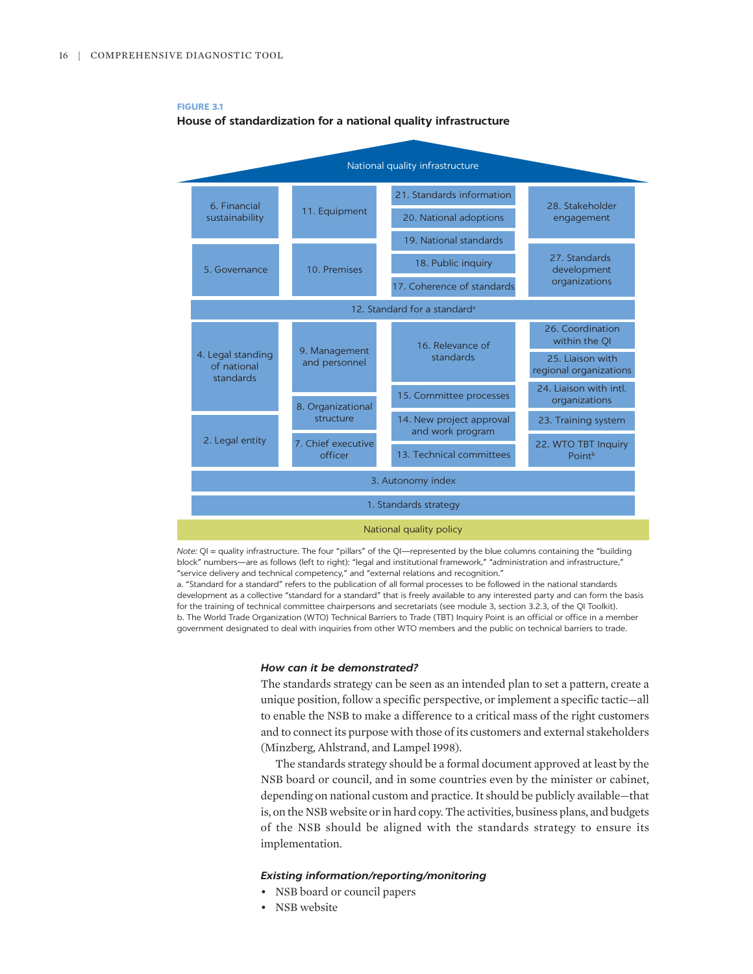

**FIGURE 3.1**



*Note:* QI = quality infrastructure. The four "pillars" of the QI—represented by the blue columns containing the "building block" numbers—are as follows (left to right): "legal and institutional framework," "administration and infrastructure," "service delivery and technical competency," and "external relations and recognition."

a. "Standard for a standard" refers to the publication of all formal processes to be followed in the national standards development as a collective "standard for a standard" that is freely available to any interested party and can form the basis for the training of technical committee chairpersons and secretariats (see module 3, section 3.2.3, of the QI Toolkit). b. The World Trade Organization (WTO) Technical Barriers to Trade (TBT) Inquiry Point is an official or office in a member government designated to deal with inquiries from other WTO members and the public on technical barriers to trade.

#### *How can it be demonstrated?*

The standards strategy can be seen as an intended plan to set a pattern, create a unique position, follow a specific perspective, or implement a specific tactic—all to enable the NSB to make a difference to a critical mass of the right customers and to connect its purpose with those of its customers and external stakeholders (Minzberg, Ahlstrand, and Lampel 1998).

The standards strategy should be a formal document approved at least by the NSB board or council, and in some countries even by the minister or cabinet, depending on national custom and practice. It should be publicly available—that is, on the NSB website or in hard copy. The activities, business plans, and budgets of the NSB should be aligned with the standards strategy to ensure its implementation.

- NSB board or council papers
- NSB website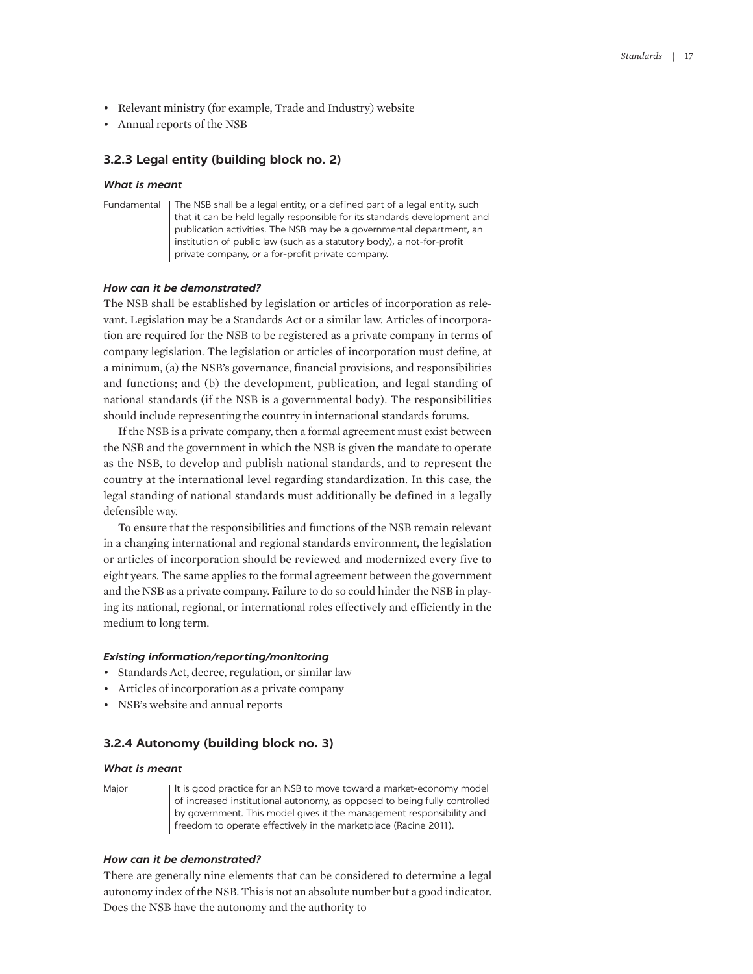- Relevant ministry (for example, Trade and Industry) website
- Annual reports of the NSB

# **3.2.3 Legal entity (building block no. 2)**

#### *What is meant*

```
Fundamental The NSB shall be a legal entity, or a defined part of a legal entity, such 
    that it can be held legally responsible for its standards development and 
    publication activities. The NSB may be a governmental department, an 
    institution of public law (such as a statutory body), a not-for-profit 
    private company, or a for-profit private company.
```
#### *How can it be demonstrated?*

The NSB shall be established by legislation or articles of incorporation as relevant. Legislation may be a Standards Act or a similar law. Articles of incorporation are required for the NSB to be registered as a private company in terms of company legislation. The legislation or articles of incorporation must define, at a minimum, (a) the NSB's governance, financial provisions, and responsibilities and functions; and (b) the development, publication, and legal standing of national standards (if the NSB is a governmental body). The responsibilities should include representing the country in international standards forums.

If the NSB is a private company, then a formal agreement must exist between the NSB and the government in which the NSB is given the mandate to operate as the NSB, to develop and publish national standards, and to represent the country at the international level regarding standardization. In this case, the legal standing of national standards must additionally be defined in a legally defensible way.

To ensure that the responsibilities and functions of the NSB remain relevant in a changing international and regional standards environment, the legislation or articles of incorporation should be reviewed and modernized every five to eight years. The same applies to the formal agreement between the government and the NSB as a private company. Failure to do so could hinder the NSB in playing its national, regional, or international roles effectively and efficiently in the medium to long term.

## *Existing information/reporting/monitoring*

- Standards Act, decree, regulation, or similar law
- Articles of incorporation as a private company
- NSB's website and annual reports

# **3.2.4 Autonomy (building block no. 3)**

#### *What is meant*

Major It is good practice for an NSB to move toward a market-economy model of increased institutional autonomy, as opposed to being fully controlled by government. This model gives it the management responsibility and freedom to operate effectively in the marketplace (Racine 2011).

# *How can it be demonstrated?*

There are generally nine elements that can be considered to determine a legal autonomy index of the NSB. This is not an absolute number but a good indicator. Does the NSB have the autonomy and the authority to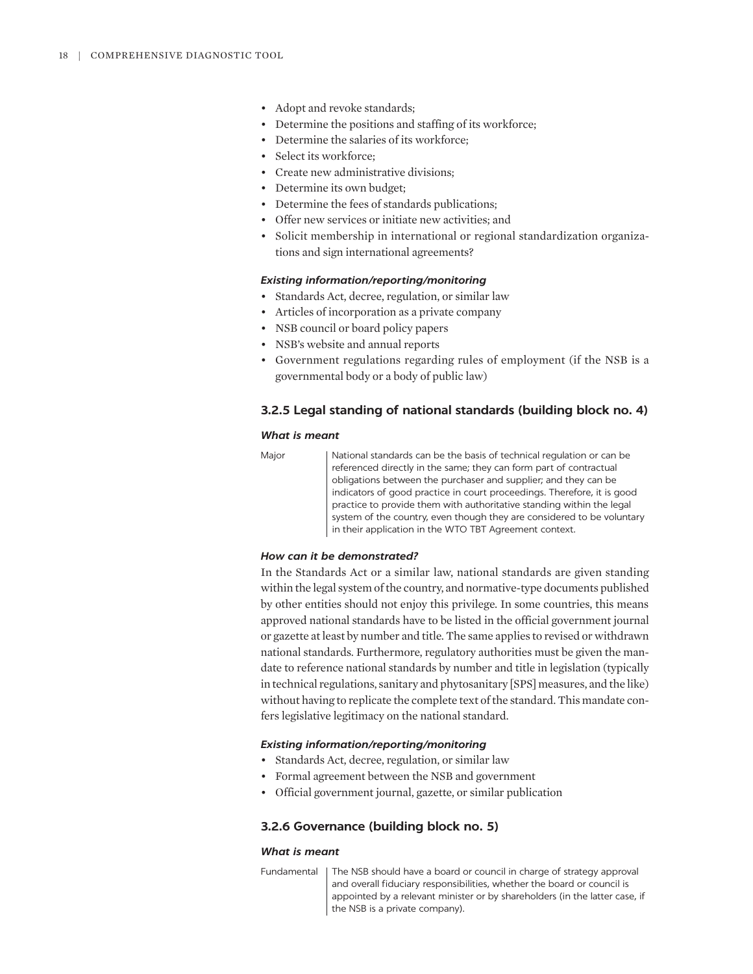- Adopt and revoke standards;
- Determine the positions and staffing of its workforce;
- Determine the salaries of its workforce;
- Select its workforce;
- Create new administrative divisions;
- Determine its own budget;
- Determine the fees of standards publications;
- Offer new services or initiate new activities; and
- Solicit membership in international or regional standardization organizations and sign international agreements?

# *Existing information/reporting/monitoring*

- Standards Act, decree, regulation, or similar law
- Articles of incorporation as a private company
- NSB council or board policy papers
- NSB's website and annual reports
- Government regulations regarding rules of employment (if the NSB is a governmental body or a body of public law)

## **3.2.5 Legal standing of national standards (building block no. 4)**

#### *What is meant*

| $\sim$<br>۰. |
|--------------|
|--------------|

National standards can be the basis of technical regulation or can be referenced directly in the same; they can form part of contractual obligations between the purchaser and supplier; and they can be indicators of good practice in court proceedings. Therefore, it is good practice to provide them with authoritative standing within the legal system of the country, even though they are considered to be voluntary in their application in the WTO TBT Agreement context.

# *How can it be demonstrated?*

In the Standards Act or a similar law, national standards are given standing within the legal system of the country, and normative-type documents published by other entities should not enjoy this privilege. In some countries, this means approved national standards have to be listed in the official government journal or gazette at least by number and title. The same applies to revised or withdrawn national standards. Furthermore, regulatory authorities must be given the mandate to reference national standards by number and title in legislation (typically in technical regulations, sanitary and phytosanitary [SPS] measures, and the like) without having to replicate the complete text of the standard. This mandate confers legislative legitimacy on the national standard.

## *Existing information/reporting/monitoring*

- Standards Act, decree, regulation, or similar law
- Formal agreement between the NSB and government
- Official government journal, gazette, or similar publication

#### **3.2.6 Governance (building block no. 5)**

#### *What is meant*

Fundamental | The NSB should have a board or council in charge of strategy approval and overall fiduciary responsibilities, whether the board or council is appointed by a relevant minister or by shareholders (in the latter case, if the NSB is a private company).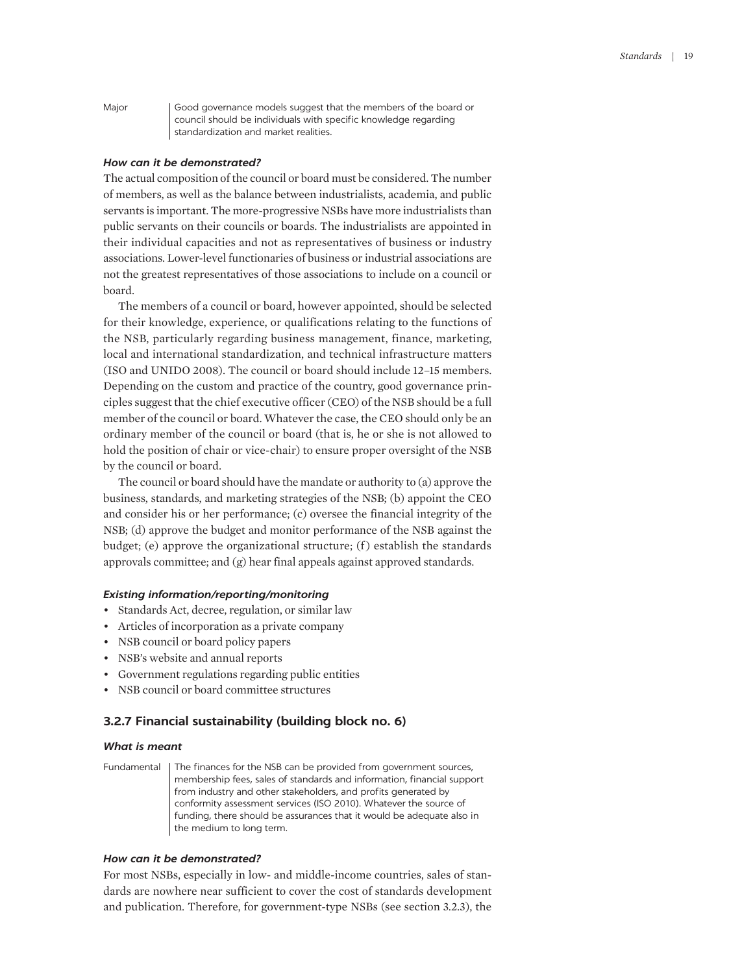Major Good governance models suggest that the members of the board or council should be individuals with specific knowledge regarding standardization and market realities.

## *How can it be demonstrated?*

The actual composition of the council or board must be considered. The number of members, as well as the balance between industrialists, academia, and public servants is important. The more-progressive NSBs have more industrialists than public servants on their councils or boards. The industrialists are appointed in their individual capacities and not as representatives of business or industry associations. Lower-level functionaries of business or industrial associations are not the greatest representatives of those associations to include on a council or board.

The members of a council or board, however appointed, should be selected for their knowledge, experience, or qualifications relating to the functions of the NSB, particularly regarding business management, finance, marketing, local and international standardization, and technical infrastructure matters (ISO and UNIDO 2008). The council or board should include 12–15 members. Depending on the custom and practice of the country, good governance principles suggest that the chief executive officer (CEO) of the NSB should be a full member of the council or board. Whatever the case, the CEO should only be an ordinary member of the council or board (that is, he or she is not allowed to hold the position of chair or vice-chair) to ensure proper oversight of the NSB by the council or board.

The council or board should have the mandate or authority to (a) approve the business, standards, and marketing strategies of the NSB; (b) appoint the CEO and consider his or her performance; (c) oversee the financial integrity of the NSB; (d) approve the budget and monitor performance of the NSB against the budget; (e) approve the organizational structure; (f) establish the standards approvals committee; and (g) hear final appeals against approved standards.

## *Existing information/reporting/monitoring*

- Standards Act, decree, regulation, or similar law
- Articles of incorporation as a private company
- NSB council or board policy papers
- NSB's website and annual reports
- Government regulations regarding public entities
- NSB council or board committee structures

# **3.2.7 Financial sustainability (building block no. 6)**

#### *What is meant*

Fundamental | The finances for the NSB can be provided from government sources, membership fees, sales of standards and information, financial support from industry and other stakeholders, and profits generated by conformity assessment services (ISO 2010). Whatever the source of funding, there should be assurances that it would be adequate also in the medium to long term.

# *How can it be demonstrated?*

For most NSBs, especially in low- and middle-income countries, sales of standards are nowhere near sufficient to cover the cost of standards development and publication. Therefore, for government-type NSBs (see section 3.2.3), the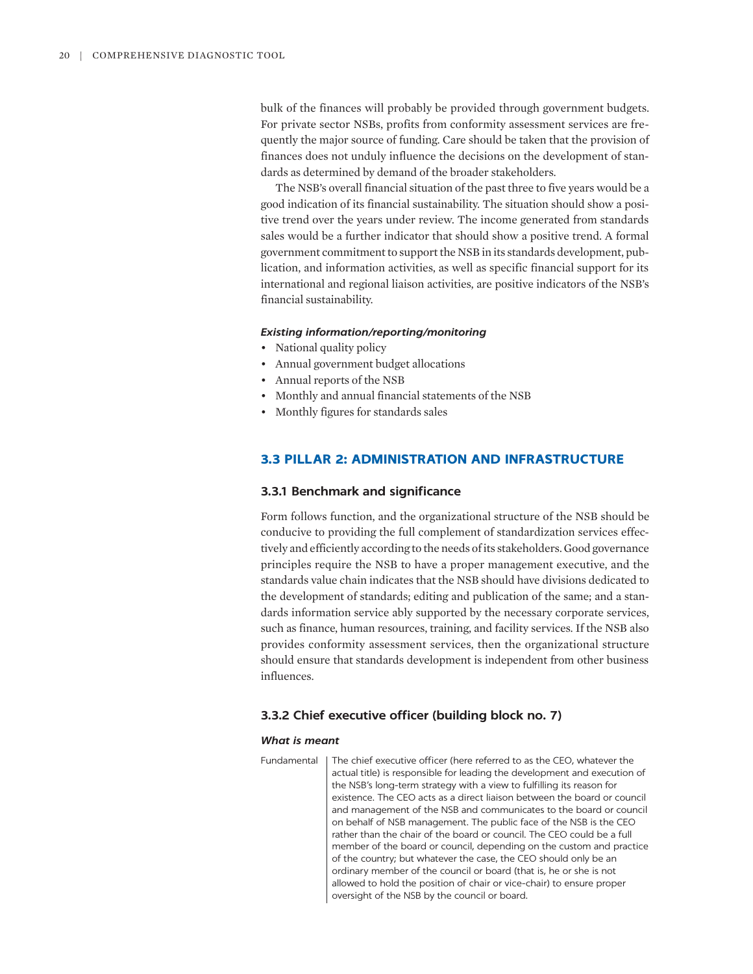bulk of the finances will probably be provided through government budgets. For private sector NSBs, profits from conformity assessment services are frequently the major source of funding. Care should be taken that the provision of finances does not unduly influence the decisions on the development of standards as determined by demand of the broader stakeholders.

The NSB's overall financial situation of the past three to five years would be a good indication of its financial sustainability. The situation should show a positive trend over the years under review. The income generated from standards sales would be a further indicator that should show a positive trend. A formal government commitment to support the NSB in its standards development, publication, and information activities, as well as specific financial support for its international and regional liaison activities, are positive indicators of the NSB's financial sustainability.

## *Existing information/reporting/monitoring*

- National quality policy
- Annual government budget allocations
- Annual reports of the NSB
- Monthly and annual financial statements of the NSB
- Monthly figures for standards sales

# **3.3 PILLAR 2: ADMINISTRATION AND INFRASTRUCTURE**

#### **3.3.1 Benchmark and significance**

Form follows function, and the organizational structure of the NSB should be conducive to providing the full complement of standardization services effectively and efficiently according to the needs of its stakeholders. Good governance principles require the NSB to have a proper management executive, and the standards value chain indicates that the NSB should have divisions dedicated to the development of standards; editing and publication of the same; and a standards information service ably supported by the necessary corporate services, such as finance, human resources, training, and facility services. If the NSB also provides conformity assessment services, then the organizational structure should ensure that standards development is independent from other business influences.

## **3.3.2 Chief executive officer (building block no. 7)**

#### *What is meant*

Fundamental The chief executive officer (here referred to as the CEO, whatever the actual title) is responsible for leading the development and execution of the NSB's long-term strategy with a view to fulfilling its reason for existence. The CEO acts as a direct liaison between the board or council and management of the NSB and communicates to the board or council on behalf of NSB management. The public face of the NSB is the CEO rather than the chair of the board or council. The CEO could be a full member of the board or council, depending on the custom and practice of the country; but whatever the case, the CEO should only be an ordinary member of the council or board (that is, he or she is not allowed to hold the position of chair or vice-chair) to ensure proper oversight of the NSB by the council or board.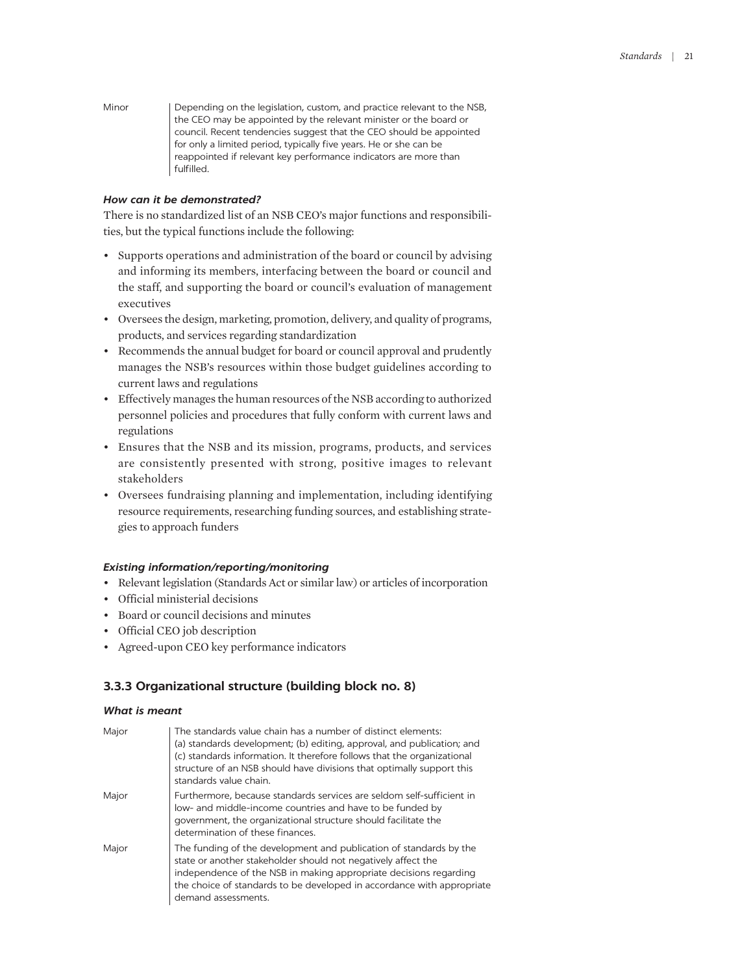Minor | Depending on the legislation, custom, and practice relevant to the NSB, the CEO may be appointed by the relevant minister or the board or council. Recent tendencies suggest that the CEO should be appointed for only a limited period, typically five years. He or she can be reappointed if relevant key performance indicators are more than fulfilled.

## *How can it be demonstrated?*

There is no standardized list of an NSB CEO's major functions and responsibilities, but the typical functions include the following:

- Supports operations and administration of the board or council by advising and informing its members, interfacing between the board or council and the staff, and supporting the board or council's evaluation of management executives
- Oversees the design, marketing, promotion, delivery, and quality of programs, products, and services regarding standardization
- Recommends the annual budget for board or council approval and prudently manages the NSB's resources within those budget guidelines according to current laws and regulations
- Effectively manages the human resources of the NSB according to authorized personnel policies and procedures that fully conform with current laws and regulations
- Ensures that the NSB and its mission, programs, products, and services are consistently presented with strong, positive images to relevant stakeholders
- Oversees fundraising planning and implementation, including identifying resource requirements, researching funding sources, and establishing strategies to approach funders

## *Existing information/reporting/monitoring*

- Relevant legislation (Standards Act or similar law) or articles of incorporation
- Official ministerial decisions
- Board or council decisions and minutes
- Official CEO job description
- Agreed-upon CEO key performance indicators

# **3.3.3 Organizational structure (building block no. 8)**

# *What is meant*

| Major | The standards value chain has a number of distinct elements:<br>(a) standards development; (b) editing, approval, and publication; and<br>(c) standards information. It therefore follows that the organizational<br>structure of an NSB should have divisions that optimally support this<br>standards value chain. |
|-------|----------------------------------------------------------------------------------------------------------------------------------------------------------------------------------------------------------------------------------------------------------------------------------------------------------------------|
| Major | Furthermore, because standards services are seldom self-sufficient in<br>low- and middle-income countries and have to be funded by<br>government, the organizational structure should facilitate the<br>determination of these finances.                                                                             |
| Major | The funding of the development and publication of standards by the<br>state or another stakeholder should not negatively affect the<br>independence of the NSB in making appropriate decisions regarding<br>the choice of standards to be developed in accordance with appropriate<br>demand assessments.            |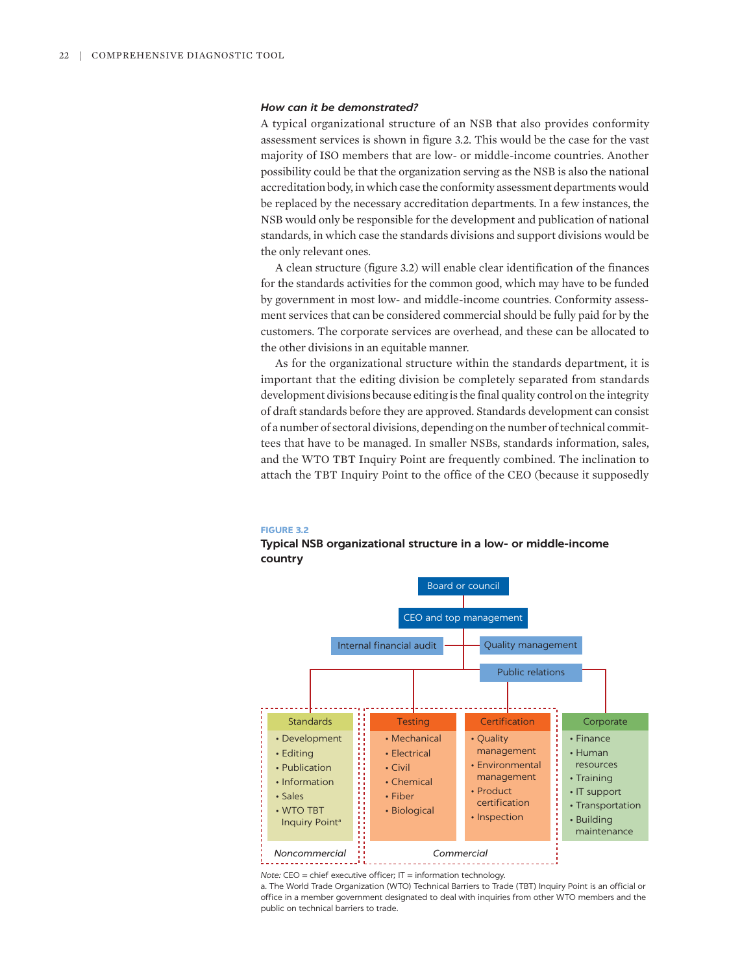#### *How can it be demonstrated?*

A typical organizational structure of an NSB that also provides conformity assessment services is shown in figure 3.2. This would be the case for the vast majority of ISO members that are low- or middle-income countries. Another possibility could be that the organization serving as the NSB is also the national accreditation body, in which case the conformity assessment departments would be replaced by the necessary accreditation departments. In a few instances, the NSB would only be responsible for the development and publication of national standards, in which case the standards divisions and support divisions would be the only relevant ones.

A clean structure (figure 3.2) will enable clear identification of the finances for the standards activities for the common good, which may have to be funded by government in most low- and middle-income countries. Conformity assessment services that can be considered commercial should be fully paid for by the customers. The corporate services are overhead, and these can be allocated to the other divisions in an equitable manner.

As for the organizational structure within the standards department, it is important that the editing division be completely separated from standards development divisions because editing is the final quality control on the integrity of draft standards before they are approved. Standards development can consist of a number of sectoral divisions, depending on the number of technical committees that have to be managed. In smaller NSBs, standards information, sales, and the WTO TBT Inquiry Point are frequently combined. The inclination to attach the TBT Inquiry Point to the office of the CEO (because it supposedly

#### **FIGURE 3.2**

## **Typical NSB organizational structure in a low- or middle-income country**



*Note:* CEO = chief executive officer; IT = information technology.

a. The World Trade Organization (WTO) Technical Barriers to Trade (TBT) Inquiry Point is an official or office in a member government designated to deal with inquiries from other WTO members and the public on technical barriers to trade.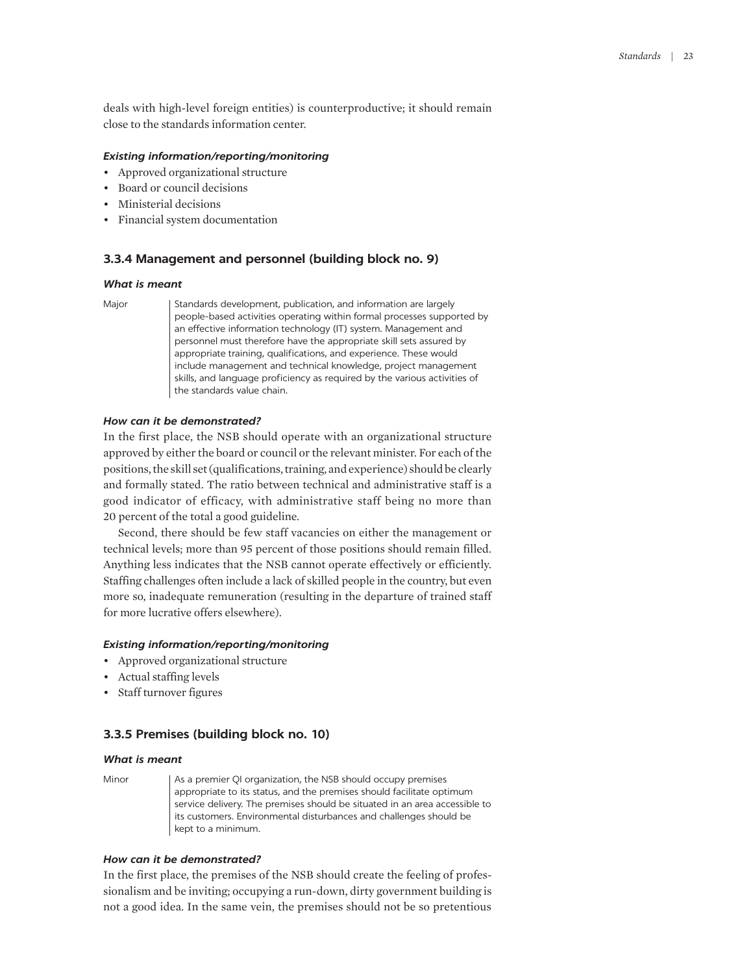deals with high-level foreign entities) is counterproductive; it should remain close to the standards information center.

# *Existing information/reporting/monitoring*

- Approved organizational structure
- Board or council decisions
- Ministerial decisions
- Financial system documentation

#### **3.3.4 Management and personnel (building block no. 9)**

# *What is meant*

Major | Standards development, publication, and information are largely people-based activities operating within formal processes supported by an effective information technology (IT) system. Management and personnel must therefore have the appropriate skill sets assured by appropriate training, qualifications, and experience. These would include management and technical knowledge, project management skills, and language proficiency as required by the various activities of the standards value chain.

#### *How can it be demonstrated?*

In the first place, the NSB should operate with an organizational structure approved by either the board or council or the relevant minister. For each of the positions, the skill set (qualifications, training, and experience) should be clearly and formally stated. The ratio between technical and administrative staff is a good indicator of efficacy, with administrative staff being no more than 20 percent of the total a good guideline.

Second, there should be few staff vacancies on either the management or technical levels; more than 95 percent of those positions should remain filled. Anything less indicates that the NSB cannot operate effectively or efficiently. Staffing challenges often include a lack of skilled people in the country, but even more so, inadequate remuneration (resulting in the departure of trained staff for more lucrative offers elsewhere).

## *Existing information/reporting/monitoring*

- Approved organizational structure
- Actual staffing levels
- Staff turnover figures

## **3.3.5 Premises (building block no. 10)**

#### *What is meant*

Minor | As a premier QI organization, the NSB should occupy premises appropriate to its status, and the premises should facilitate optimum service delivery. The premises should be situated in an area accessible to its customers. Environmental disturbances and challenges should be kept to a minimum.

# *How can it be demonstrated?*

In the first place, the premises of the NSB should create the feeling of professionalism and be inviting; occupying a run-down, dirty government building is not a good idea. In the same vein, the premises should not be so pretentious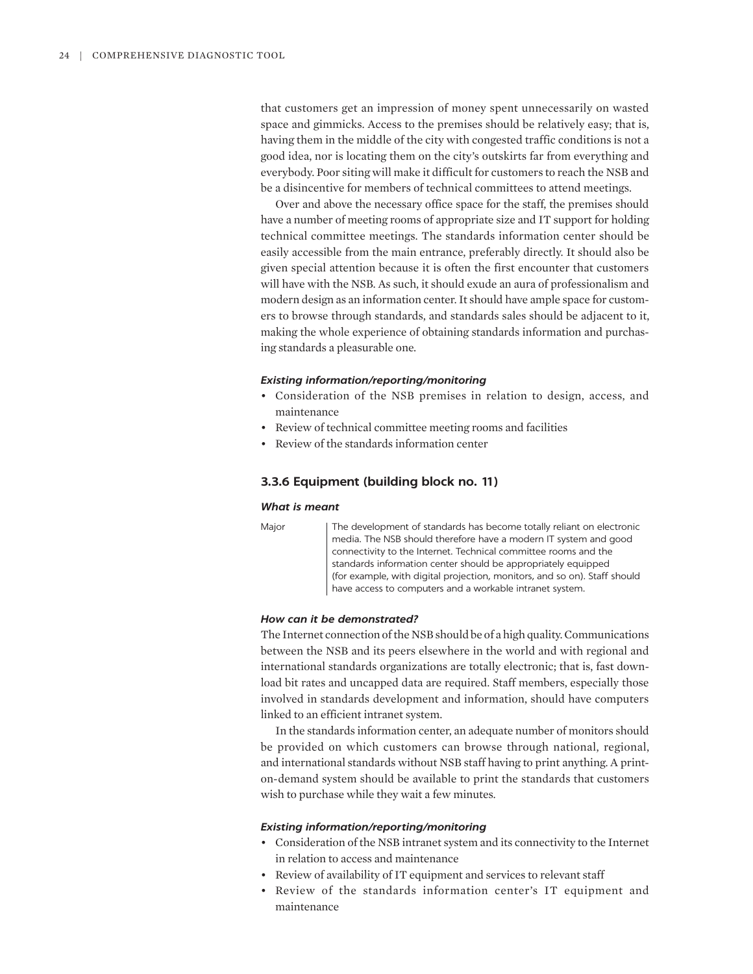that customers get an impression of money spent unnecessarily on wasted space and gimmicks. Access to the premises should be relatively easy; that is, having them in the middle of the city with congested traffic conditions is not a good idea, nor is locating them on the city's outskirts far from everything and everybody. Poor siting will make it difficult for customers to reach the NSB and be a disincentive for members of technical committees to attend meetings.

Over and above the necessary office space for the staff, the premises should have a number of meeting rooms of appropriate size and IT support for holding technical committee meetings. The standards information center should be easily accessible from the main entrance, preferably directly. It should also be given special attention because it is often the first encounter that customers will have with the NSB. As such, it should exude an aura of professionalism and modern design as an information center. It should have ample space for customers to browse through standards, and standards sales should be adjacent to it, making the whole experience of obtaining standards information and purchasing standards a pleasurable one.

#### *Existing information/reporting/monitoring*

- Consideration of the NSB premises in relation to design, access, and maintenance
- Review of technical committee meeting rooms and facilities
- Review of the standards information center

# **3.3.6 Equipment (building block no. 11)**

## *What is meant*

Major The development of standards has become totally reliant on electronic media. The NSB should therefore have a modern IT system and good connectivity to the Internet. Technical committee rooms and the standards information center should be appropriately equipped (for example, with digital projection, monitors, and so on). Staff should have access to computers and a workable intranet system.

#### *How can it be demonstrated?*

The Internet connection of the NSB should be of a high quality. Communications between the NSB and its peers elsewhere in the world and with regional and international standards organizations are totally electronic; that is, fast download bit rates and uncapped data are required. Staff members, especially those involved in standards development and information, should have computers linked to an efficient intranet system.

In the standards information center, an adequate number of monitors should be provided on which customers can browse through national, regional, and international standards without NSB staff having to print anything. A printon-demand system should be available to print the standards that customers wish to purchase while they wait a few minutes.

- Consideration of the NSB intranet system and its connectivity to the Internet in relation to access and maintenance
- Review of availability of IT equipment and services to relevant staff
- Review of the standards information center's IT equipment and maintenance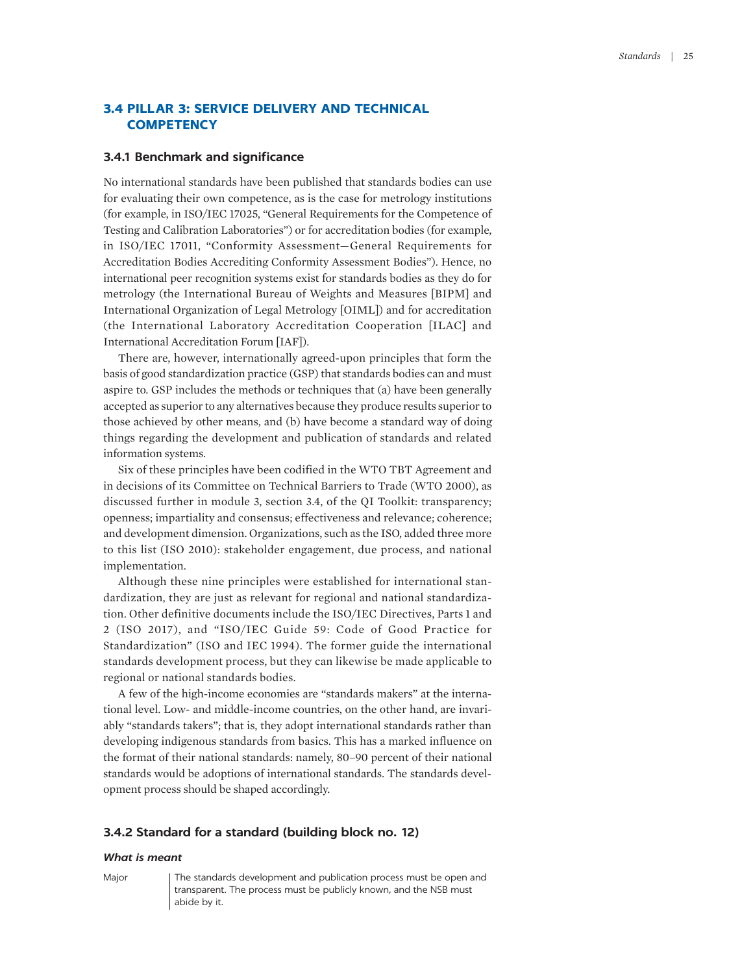# **3.4 PILLAR 3: SERVICE DELIVERY AND TECHNICAL COMPETENCY**

# **3.4.1 Benchmark and significance**

No international standards have been published that standards bodies can use for evaluating their own competence, as is the case for metrology institutions (for example, in ISO/IEC 17025, "General Requirements for the Competence of Testing and Calibration Laboratories") or for accreditation bodies (for example, in ISO/IEC 17011, "Conformity Assessment—General Requirements for Accreditation Bodies Accrediting Conformity Assessment Bodies"). Hence, no international peer recognition systems exist for standards bodies as they do for metrology (the International Bureau of Weights and Measures [BIPM] and International Organization of Legal Metrology [OIML]) and for accreditation (the International Laboratory Accreditation Cooperation [ILAC] and International Accreditation Forum [IAF]).

There are, however, internationally agreed-upon principles that form the basis of good standardization practice (GSP) that standards bodies can and must aspire to. GSP includes the methods or techniques that (a) have been generally accepted as superior to any alternatives because they produce results superior to those achieved by other means, and (b) have become a standard way of doing things regarding the development and publication of standards and related information systems.

Six of these principles have been codified in the WTO TBT Agreement and in decisions of its Committee on Technical Barriers to Trade (WTO 2000), as discussed further in module 3, section 3.4, of the QI Toolkit: transparency; openness; impartiality and consensus; effectiveness and relevance; coherence; and development dimension. Organizations, such as the ISO, added three more to this list (ISO 2010): stakeholder engagement, due process, and national implementation.

Although these nine principles were established for international standardization, they are just as relevant for regional and national standardization. Other definitive documents include the ISO/IEC Directives, Parts 1 and 2 (ISO 2017), and "ISO/IEC Guide 59: Code of Good Practice for Standardization" (ISO and IEC 1994). The former guide the international standards development process, but they can likewise be made applicable to regional or national standards bodies.

A few of the high-income economies are "standards makers" at the international level. Low- and middle-income countries, on the other hand, are invariably "standards takers"; that is, they adopt international standards rather than developing indigenous standards from basics. This has a marked influence on the format of their national standards: namely, 80–90 percent of their national standards would be adoptions of international standards. The standards development process should be shaped accordingly.

### **3.4.2 Standard for a standard (building block no. 12)**

#### *What is meant*

Major The standards development and publication process must be open and transparent. The process must be publicly known, and the NSB must abide by it.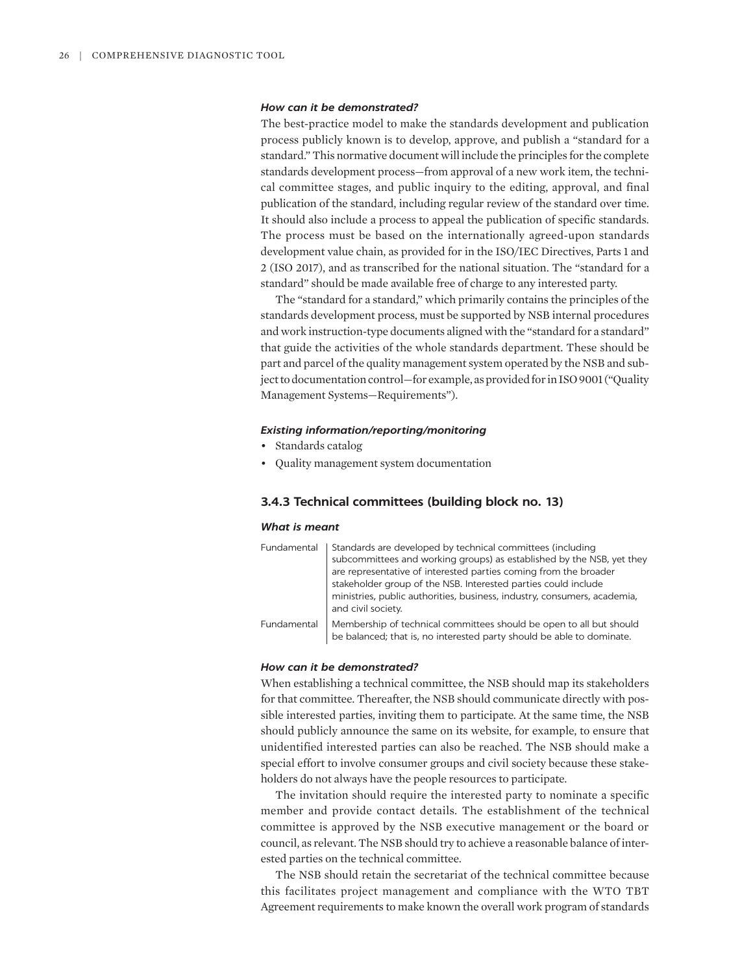#### *How can it be demonstrated?*

The best-practice model to make the standards development and publication process publicly known is to develop, approve, and publish a "standard for a standard." This normative document will include the principles for the complete standards development process—from approval of a new work item, the technical committee stages, and public inquiry to the editing, approval, and final publication of the standard, including regular review of the standard over time. It should also include a process to appeal the publication of specific standards. The process must be based on the internationally agreed-upon standards development value chain, as provided for in the ISO/IEC Directives, Parts 1 and 2 (ISO 2017), and as transcribed for the national situation. The "standard for a standard" should be made available free of charge to any interested party.

The "standard for a standard," which primarily contains the principles of the standards development process, must be supported by NSB internal procedures and work instruction-type documents aligned with the "standard for a standard" that guide the activities of the whole standards department. These should be part and parcel of the quality management system operated by the NSB and subject to documentation control—for example, as provided for in ISO 9001 ("Quality Management Systems—Requirements").

#### *Existing information/reporting/monitoring*

- Standards catalog
- Quality management system documentation

# **3.4.3 Technical committees (building block no. 13)**

#### *What is meant*

| Fundamental | Standards are developed by technical committees (including<br>subcommittees and working groups) as established by the NSB, yet they<br>are representative of interested parties coming from the broader<br>stakeholder group of the NSB. Interested parties could include<br>ministries, public authorities, business, industry, consumers, academia,<br>and civil society. |
|-------------|-----------------------------------------------------------------------------------------------------------------------------------------------------------------------------------------------------------------------------------------------------------------------------------------------------------------------------------------------------------------------------|
| Fundamental | Membership of technical committees should be open to all but should<br>be balanced; that is, no interested party should be able to dominate.                                                                                                                                                                                                                                |

#### *How can it be demonstrated?*

When establishing a technical committee, the NSB should map its stakeholders for that committee. Thereafter, the NSB should communicate directly with possible interested parties, inviting them to participate. At the same time, the NSB should publicly announce the same on its website, for example, to ensure that unidentified interested parties can also be reached. The NSB should make a special effort to involve consumer groups and civil society because these stakeholders do not always have the people resources to participate.

The invitation should require the interested party to nominate a specific member and provide contact details. The establishment of the technical committee is approved by the NSB executive management or the board or council, as relevant. The NSB should try to achieve a reasonable balance of interested parties on the technical committee.

The NSB should retain the secretariat of the technical committee because this facilitates project management and compliance with the WTO TBT Agreement requirements to make known the overall work program of standards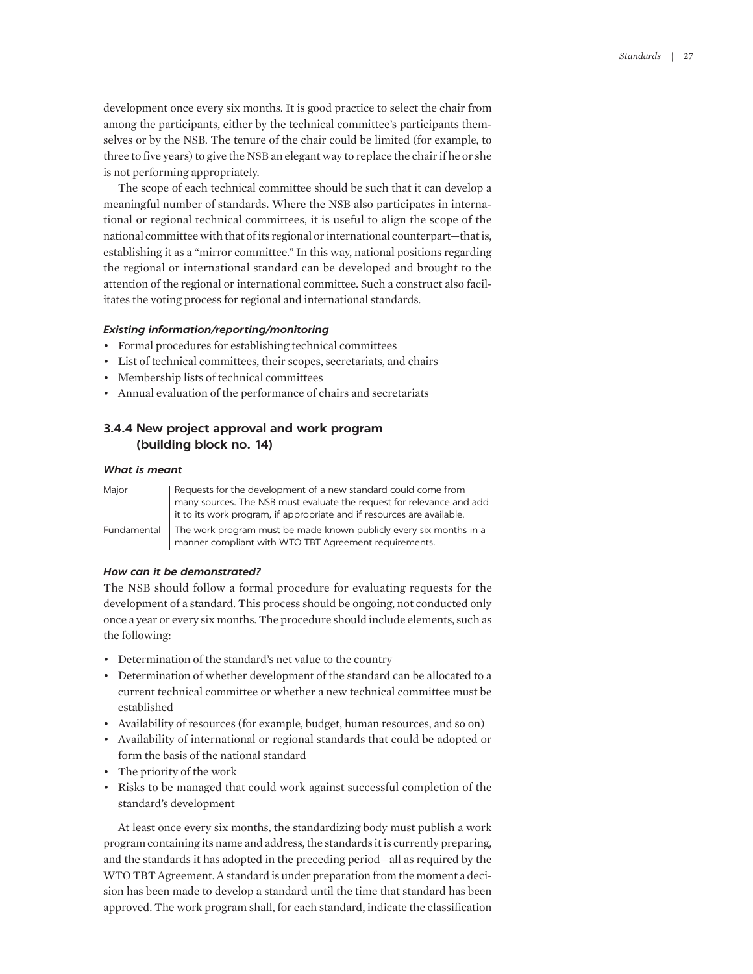development once every six months. It is good practice to select the chair from among the participants, either by the technical committee's participants themselves or by the NSB. The tenure of the chair could be limited (for example, to three to five years) to give the NSB an elegant way to replace the chair if he or she is not performing appropriately.

The scope of each technical committee should be such that it can develop a meaningful number of standards. Where the NSB also participates in international or regional technical committees, it is useful to align the scope of the national committee with that of its regional or international counterpart—that is, establishing it as a "mirror committee." In this way, national positions regarding the regional or international standard can be developed and brought to the attention of the regional or international committee. Such a construct also facilitates the voting process for regional and international standards.

## *Existing information/reporting/monitoring*

- Formal procedures for establishing technical committees
- List of technical committees, their scopes, secretariats, and chairs
- Membership lists of technical committees
- Annual evaluation of the performance of chairs and secretariats

# **3.4.4 New project approval and work program (building block no. 14)**

#### *What is meant*

| Major       | Requests for the development of a new standard could come from<br>many sources. The NSB must evaluate the request for relevance and add<br>it to its work program, if appropriate and if resources are available. |
|-------------|-------------------------------------------------------------------------------------------------------------------------------------------------------------------------------------------------------------------|
| Fundamental | The work program must be made known publicly every six months in a<br>manner compliant with WTO TBT Agreement requirements.                                                                                       |

#### *How can it be demonstrated?*

The NSB should follow a formal procedure for evaluating requests for the development of a standard. This process should be ongoing, not conducted only once a year or every six months. The procedure should include elements, such as the following:

- Determination of the standard's net value to the country
- Determination of whether development of the standard can be allocated to a current technical committee or whether a new technical committee must be established
- Availability of resources (for example, budget, human resources, and so on)
- Availability of international or regional standards that could be adopted or form the basis of the national standard
- The priority of the work
- Risks to be managed that could work against successful completion of the standard's development

At least once every six months, the standardizing body must publish a work program containing its name and address, the standards it is currently preparing, and the standards it has adopted in the preceding period—all as required by the WTO TBT Agreement. A standard is under preparation from the moment a decision has been made to develop a standard until the time that standard has been approved. The work program shall, for each standard, indicate the classification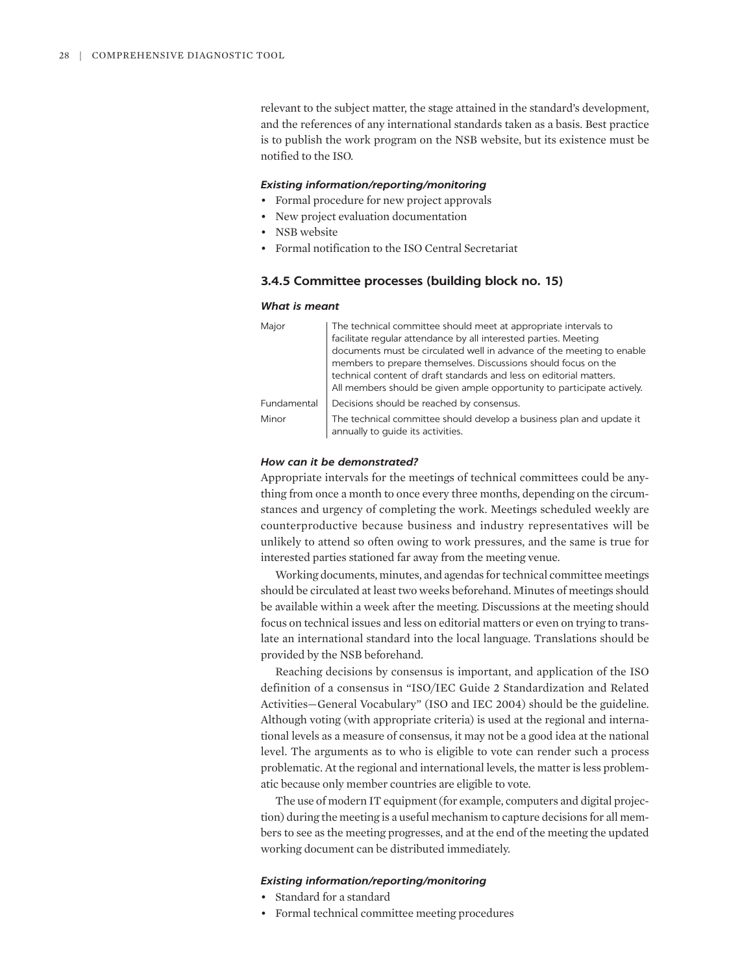relevant to the subject matter, the stage attained in the standard's development, and the references of any international standards taken as a basis. Best practice is to publish the work program on the NSB website, but its existence must be notified to the ISO.

#### *Existing information/reporting/monitoring*

- Formal procedure for new project approvals
- New project evaluation documentation
- NSB website
- Formal notification to the ISO Central Secretariat

## **3.4.5 Committee processes (building block no. 15)**

#### *What is meant*

| Major       | The technical committee should meet at appropriate intervals to                                           |
|-------------|-----------------------------------------------------------------------------------------------------------|
|             | facilitate regular attendance by all interested parties. Meeting                                          |
|             | documents must be circulated well in advance of the meeting to enable                                     |
|             | members to prepare themselves. Discussions should focus on the                                            |
|             | technical content of draft standards and less on editorial matters.                                       |
|             | All members should be given ample opportunity to participate actively.                                    |
| Fundamental | Decisions should be reached by consensus.                                                                 |
| Minor       | The technical committee should develop a business plan and update it<br>annually to guide its activities. |

## *How can it be demonstrated?*

Appropriate intervals for the meetings of technical committees could be anything from once a month to once every three months, depending on the circumstances and urgency of completing the work. Meetings scheduled weekly are counterproductive because business and industry representatives will be unlikely to attend so often owing to work pressures, and the same is true for interested parties stationed far away from the meeting venue.

Working documents, minutes, and agendas for technical committee meetings should be circulated at least two weeks beforehand. Minutes of meetings should be available within a week after the meeting. Discussions at the meeting should focus on technical issues and less on editorial matters or even on trying to translate an international standard into the local language. Translations should be provided by the NSB beforehand.

Reaching decisions by consensus is important, and application of the ISO definition of a consensus in "ISO/IEC Guide 2 Standardization and Related Activities—General Vocabulary" (ISO and IEC 2004) should be the guideline. Although voting (with appropriate criteria) is used at the regional and international levels as a measure of consensus, it may not be a good idea at the national level. The arguments as to who is eligible to vote can render such a process problematic. At the regional and international levels, the matter is less problematic because only member countries are eligible to vote.

The use of modern IT equipment (for example, computers and digital projection) during the meeting is a useful mechanism to capture decisions for all members to see as the meeting progresses, and at the end of the meeting the updated working document can be distributed immediately.

- Standard for a standard
- Formal technical committee meeting procedures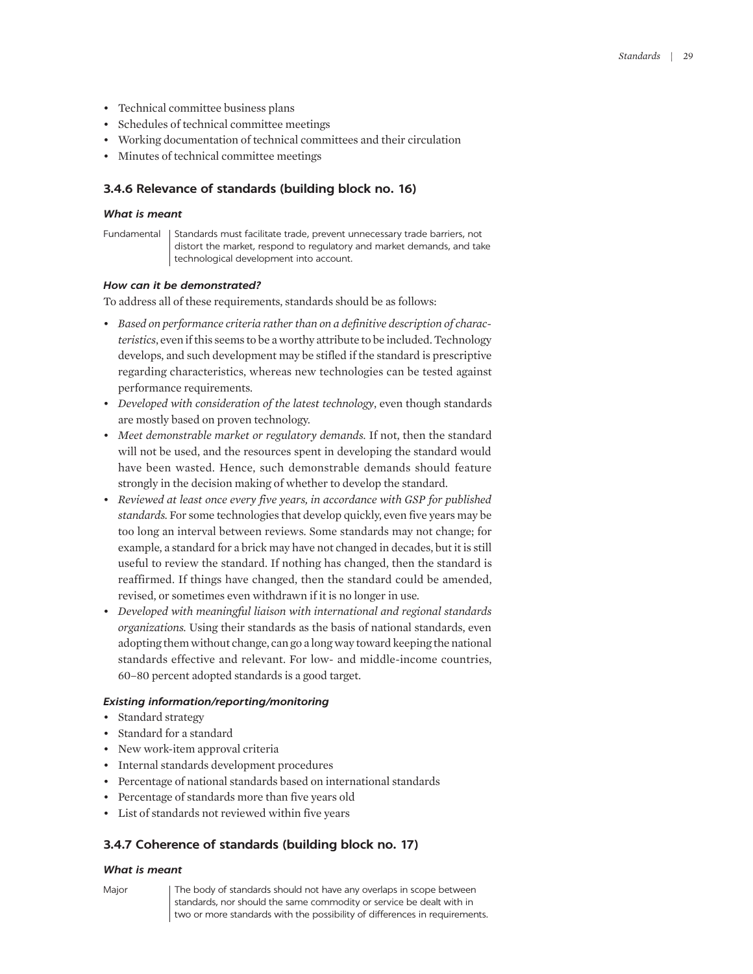- Technical committee business plans
- Schedules of technical committee meetings
- Working documentation of technical committees and their circulation
- Minutes of technical committee meetings

# **3.4.6 Relevance of standards (building block no. 16)**

#### *What is meant*

Fundamental | Standards must facilitate trade, prevent unnecessary trade barriers, not distort the market, respond to regulatory and market demands, and take technological development into account.

# *How can it be demonstrated?*

To address all of these requirements, standards should be as follows:

- *Based on performance criteria rather than on a definitive description of characteristics*, even if this seems to be a worthy attribute to be included. Technology develops, and such development may be stifled if the standard is prescriptive regarding characteristics, whereas new technologies can be tested against performance requirements.
- *Developed with consideration of the latest technology*, even though standards are mostly based on proven technology.
- *Meet demonstrable market or regulatory demands.* If not, then the standard will not be used, and the resources spent in developing the standard would have been wasted. Hence, such demonstrable demands should feature strongly in the decision making of whether to develop the standard.
- *Reviewed at least once every five years, in accordance with GSP for published standards.* For some technologies that develop quickly, even five years may be too long an interval between reviews. Some standards may not change; for example, a standard for a brick may have not changed in decades, but it is still useful to review the standard. If nothing has changed, then the standard is reaffirmed. If things have changed, then the standard could be amended, revised, or sometimes even withdrawn if it is no longer in use.
- *Developed with meaningful liaison with international and regional standards organizations.* Using their standards as the basis of national standards, even adopting them without change, can go a long way toward keeping the national standards effective and relevant. For low- and middle-income countries, 60–80 percent adopted standards is a good target.

# *Existing information/reporting/monitoring*

- Standard strategy
- Standard for a standard
- New work-item approval criteria
- Internal standards development procedures
- Percentage of national standards based on international standards
- Percentage of standards more than five years old
- List of standards not reviewed within five years

# **3.4.7 Coherence of standards (building block no. 17)**

#### *What is meant*

Major The body of standards should not have any overlaps in scope between standards, nor should the same commodity or service be dealt with in two or more standards with the possibility of differences in requirements.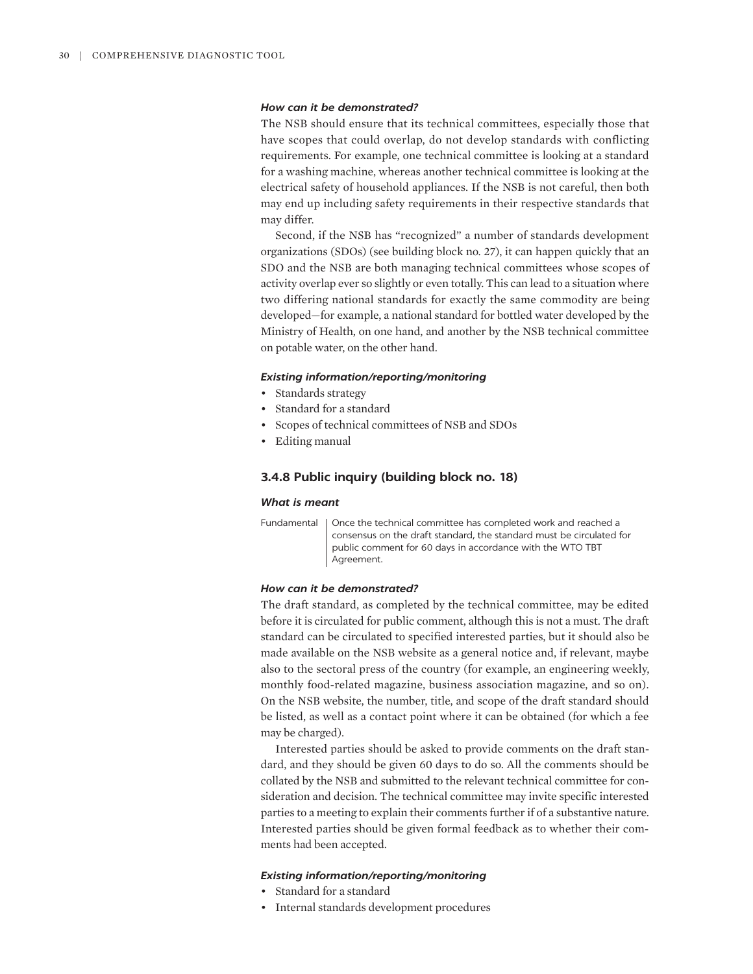### *How can it be demonstrated?*

The NSB should ensure that its technical committees, especially those that have scopes that could overlap, do not develop standards with conflicting requirements. For example, one technical committee is looking at a standard for a washing machine, whereas another technical committee is looking at the electrical safety of household appliances. If the NSB is not careful, then both may end up including safety requirements in their respective standards that may differ.

Second, if the NSB has "recognized" a number of standards development organizations (SDOs) (see building block no. 27), it can happen quickly that an SDO and the NSB are both managing technical committees whose scopes of activity overlap ever so slightly or even totally. This can lead to a situation where two differing national standards for exactly the same commodity are being developed—for example, a national standard for bottled water developed by the Ministry of Health, on one hand, and another by the NSB technical committee on potable water, on the other hand.

#### *Existing information/reporting/monitoring*

- Standards strategy
- Standard for a standard
- Scopes of technical committees of NSB and SDOs
- Editing manual

# **3.4.8 Public inquiry (building block no. 18)**

#### *What is meant*

Fundamental | Once the technical committee has completed work and reached a consensus on the draft standard, the standard must be circulated for public comment for 60 days in accordance with the WTO TBT Agreement

# *How can it be demonstrated?*

The draft standard, as completed by the technical committee, may be edited before it is circulated for public comment, although this is not a must. The draft standard can be circulated to specified interested parties, but it should also be made available on the NSB website as a general notice and, if relevant, maybe also to the sectoral press of the country (for example, an engineering weekly, monthly food-related magazine, business association magazine, and so on). On the NSB website, the number, title, and scope of the draft standard should be listed, as well as a contact point where it can be obtained (for which a fee may be charged).

Interested parties should be asked to provide comments on the draft standard, and they should be given 60 days to do so. All the comments should be collated by the NSB and submitted to the relevant technical committee for consideration and decision. The technical committee may invite specific interested parties to a meeting to explain their comments further if of a substantive nature. Interested parties should be given formal feedback as to whether their comments had been accepted.

- Standard for a standard
- Internal standards development procedures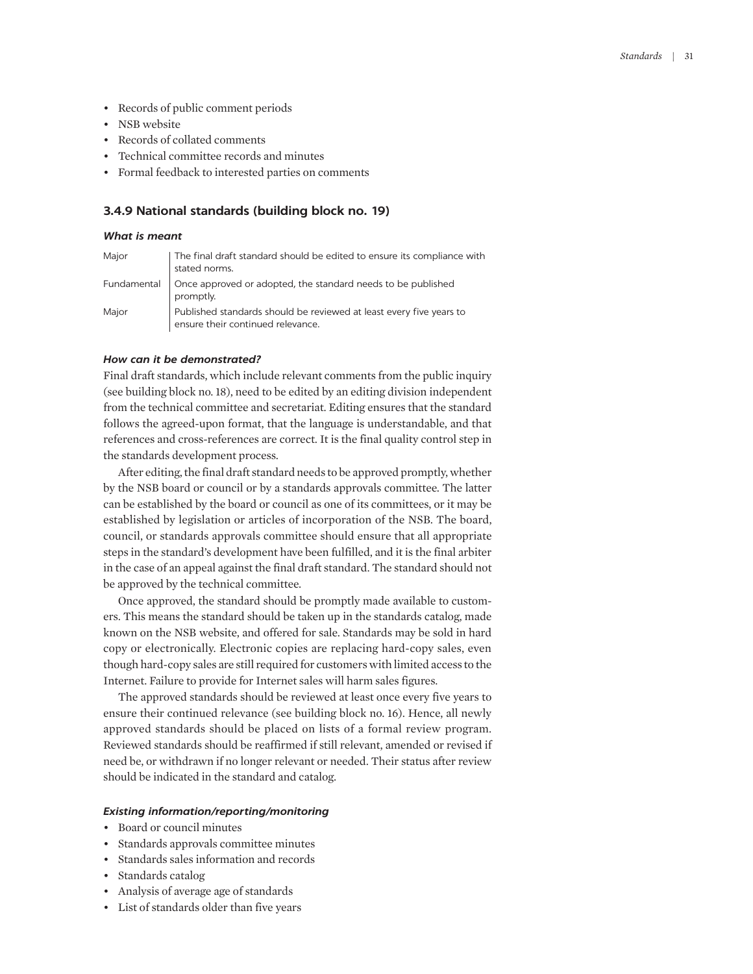- Records of public comment periods
- NSB website
- Records of collated comments
- Technical committee records and minutes
- Formal feedback to interested parties on comments

# **3.4.9 National standards (building block no. 19)**

#### *What is meant*

| Major | The final draft standard should be edited to ensure its compliance with                                  |
|-------|----------------------------------------------------------------------------------------------------------|
|       | stated norms.                                                                                            |
|       | Fundamental   Once approved or adopted, the standard needs to be published<br>promptly.                  |
| Major | Published standards should be reviewed at least every five years to<br>ensure their continued relevance. |

## *How can it be demonstrated?*

Final draft standards, which include relevant comments from the public inquiry (see building block no. 18), need to be edited by an editing division independent from the technical committee and secretariat. Editing ensures that the standard follows the agreed-upon format, that the language is understandable, and that references and cross-references are correct. It is the final quality control step in the standards development process.

After editing, the final draft standard needs to be approved promptly, whether by the NSB board or council or by a standards approvals committee. The latter can be established by the board or council as one of its committees, or it may be established by legislation or articles of incorporation of the NSB. The board, council, or standards approvals committee should ensure that all appropriate steps in the standard's development have been fulfilled, and it is the final arbiter in the case of an appeal against the final draft standard. The standard should not be approved by the technical committee.

Once approved, the standard should be promptly made available to customers. This means the standard should be taken up in the standards catalog, made known on the NSB website, and offered for sale. Standards may be sold in hard copy or electronically. Electronic copies are replacing hard-copy sales, even though hard-copy sales are still required for customers with limited access to the Internet. Failure to provide for Internet sales will harm sales figures.

The approved standards should be reviewed at least once every five years to ensure their continued relevance (see building block no. 16). Hence, all newly approved standards should be placed on lists of a formal review program. Reviewed standards should be reaffirmed if still relevant, amended or revised if need be, or withdrawn if no longer relevant or needed. Their status after review should be indicated in the standard and catalog.

- Board or council minutes
- Standards approvals committee minutes
- Standards sales information and records
- Standards catalog
- Analysis of average age of standards
- List of standards older than five years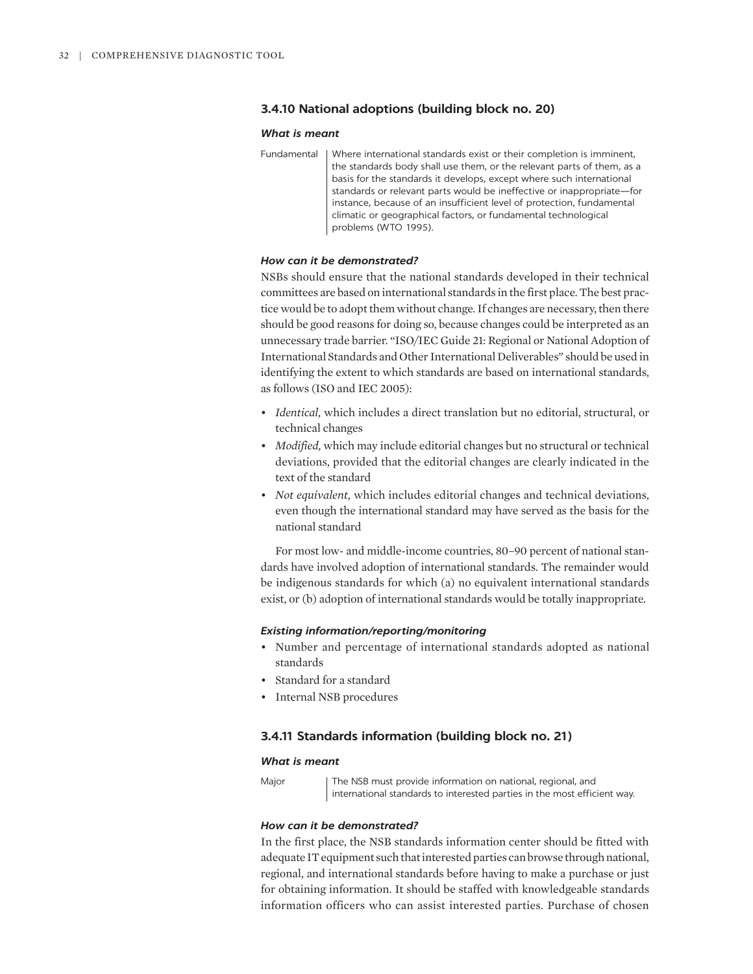# **3.4.10 National adoptions (building block no. 20)**

#### *What is meant*

Fundamental | Where international standards exist or their completion is imminent, the standards body shall use them, or the relevant parts of them, as a basis for the standards it develops, except where such international standards or relevant parts would be ineffective or inappropriate—for instance, because of an insufficient level of protection, fundamental climatic or geographical factors, or fundamental technological problems (WTO 1995).

## *How can it be demonstrated?*

NSBs should ensure that the national standards developed in their technical committees are based on international standards in the first place. The best practice would be to adopt them without change. If changes are necessary, then there should be good reasons for doing so, because changes could be interpreted as an unnecessary trade barrier. "ISO/IEC Guide 21: Regional or National Adoption of International Standards and Other International Deliverables" should be used in identifying the extent to which standards are based on international standards, as follows (ISO and IEC 2005):

- *Identical,* which includes a direct translation but no editorial, structural, or technical changes
- *Modified,* which may include editorial changes but no structural or technical deviations, provided that the editorial changes are clearly indicated in the text of the standard
- *Not equivalent,* which includes editorial changes and technical deviations, even though the international standard may have served as the basis for the national standard

For most low- and middle-income countries, 80–90 percent of national standards have involved adoption of international standards. The remainder would be indigenous standards for which (a) no equivalent international standards exist, or (b) adoption of international standards would be totally inappropriate.

#### *Existing information/reporting/monitoring*

- Number and percentage of international standards adopted as national standards
- Standard for a standard
- Internal NSB procedures

# **3.4.11 Standards information (building block no. 21)**

#### *What is meant*

Major | The NSB must provide information on national, regional, and international standards to interested parties in the most efficient way.

## *How can it be demonstrated?*

In the first place, the NSB standards information center should be fitted with adequate IT equipment such that interested parties can browse through national, regional, and international standards before having to make a purchase or just for obtaining information. It should be staffed with knowledgeable standards information officers who can assist interested parties. Purchase of chosen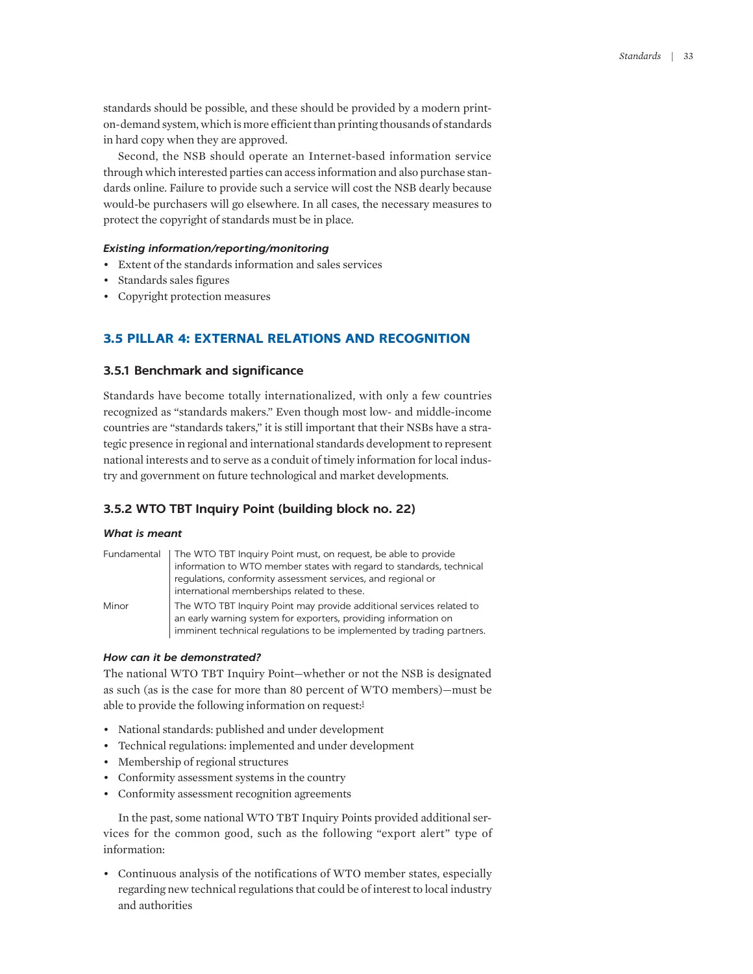standards should be possible, and these should be provided by a modern printon-demand system, which is more efficient than printing thousands of standards in hard copy when they are approved.

Second, the NSB should operate an Internet-based information service through which interested parties can access information and also purchase standards online. Failure to provide such a service will cost the NSB dearly because would-be purchasers will go elsewhere. In all cases, the necessary measures to protect the copyright of standards must be in place.

# *Existing information/reporting/monitoring*

- Extent of the standards information and sales services
- Standards sales figures
- Copyright protection measures

# **3.5 PILLAR 4: EXTERNAL RELATIONS AND RECOGNITION**

# **3.5.1 Benchmark and significance**

Standards have become totally internationalized, with only a few countries recognized as "standards makers." Even though most low- and middle-income countries are "standards takers," it is still important that their NSBs have a strategic presence in regional and international standards development to represent national interests and to serve as a conduit of timely information for local industry and government on future technological and market developments.

# **3.5.2 WTO TBT Inquiry Point (building block no. 22)**

#### *What is meant*

|       | Fundamental   The WTO TBT Inquiry Point must, on request, be able to provide                                                                                                                                     |
|-------|------------------------------------------------------------------------------------------------------------------------------------------------------------------------------------------------------------------|
|       | information to WTO member states with regard to standards, technical                                                                                                                                             |
|       | regulations, conformity assessment services, and regional or<br>international memberships related to these.                                                                                                      |
| Minor | The WTO TBT Inquiry Point may provide additional services related to<br>an early warning system for exporters, providing information on<br>imminent technical regulations to be implemented by trading partners. |

# *How can it be demonstrated?*

<span id="page-20-0"></span>The national WTO TBT Inquiry Point—whether or not the NSB is designated as such (as is the case for more than 80 percent of WTO members)—must be able to provide the following information on request: $<sup>1</sup>$ </sup>

- National standards: published and under development
- Technical regulations: implemented and under development
- Membership of regional structures
- Conformity assessment systems in the country
- Conformity assessment recognition agreements

In the past, some national WTO TBT Inquiry Points provided additional services for the common good, such as the following "export alert" type of information:

• Continuous analysis of the notifications of WTO member states, especially regarding new technical regulations that could be of interest to local industry and authorities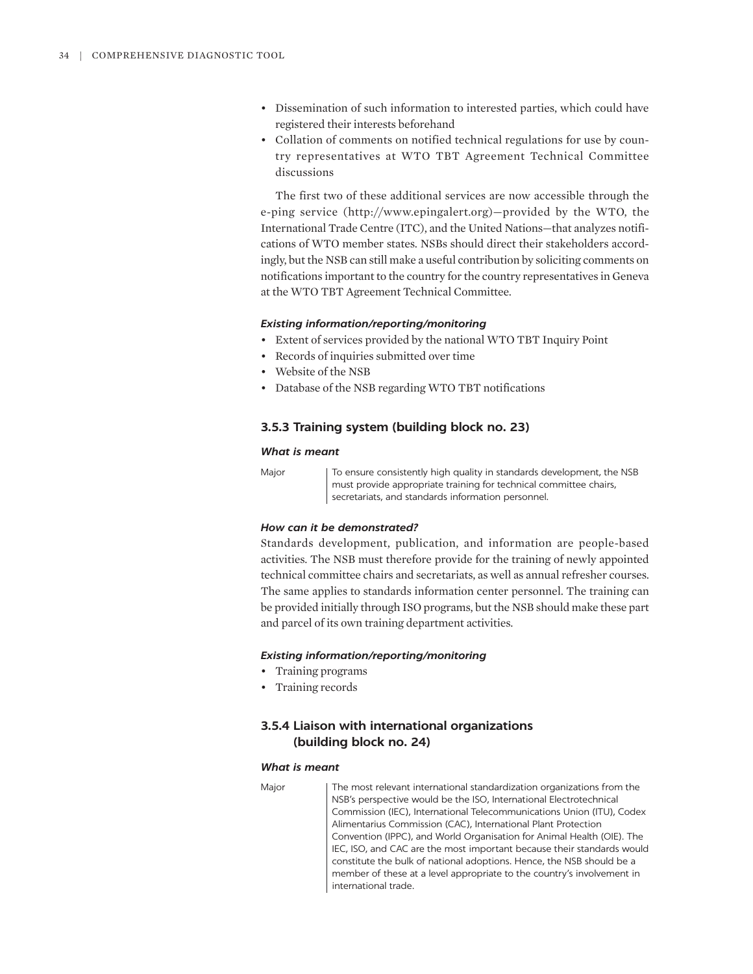- Dissemination of such information to interested parties, which could have registered their interests beforehand
- Collation of comments on notified technical regulations for use by country representatives at WTO TBT Agreement Technical Committee discussions

The first two of these additional services are now accessible through the e-ping service ([http://www.epingalert.org\)—provided](http://www.epingalert.org)—provided) by the WTO, the International Trade Centre (ITC), and the United Nations—that analyzes notifications of WTO member states. NSBs should direct their stakeholders accordingly, but the NSB can still make a useful contribution by soliciting comments on notifications important to the country for the country representatives in Geneva at the WTO TBT Agreement Technical Committee.

# *Existing information/reporting/monitoring*

- Extent of services provided by the national WTO TBT Inquiry Point
- Records of inquiries submitted over time
- Website of the NSB
- Database of the NSB regarding WTO TBT notifications

# **3.5.3 Training system (building block no. 23)**

## *What is meant*

Major To ensure consistently high quality in standards development, the NSB must provide appropriate training for technical committee chairs, secretariats, and standards information personnel.

# *How can it be demonstrated?*

Standards development, publication, and information are people-based activities. The NSB must therefore provide for the training of newly appointed technical committee chairs and secretariats, as well as annual refresher courses. The same applies to standards information center personnel. The training can be provided initially through ISO programs, but the NSB should make these part and parcel of its own training department activities.

# *Existing information/reporting/monitoring*

- Training programs
- Training records

# **3.5.4 Liaison with international organizations (building block no. 24)**

#### *What is meant*

Major The most relevant international standardization organizations from the NSB's perspective would be the ISO, International Electrotechnical Commission (IEC), International Telecommunications Union (ITU), Codex Alimentarius Commission (CAC), International Plant Protection Convention (IPPC), and World Organisation for Animal Health (OIE). The IEC, ISO, and CAC are the most important because their standards would constitute the bulk of national adoptions. Hence, the NSB should be a member of these at a level appropriate to the country's involvement in international trade.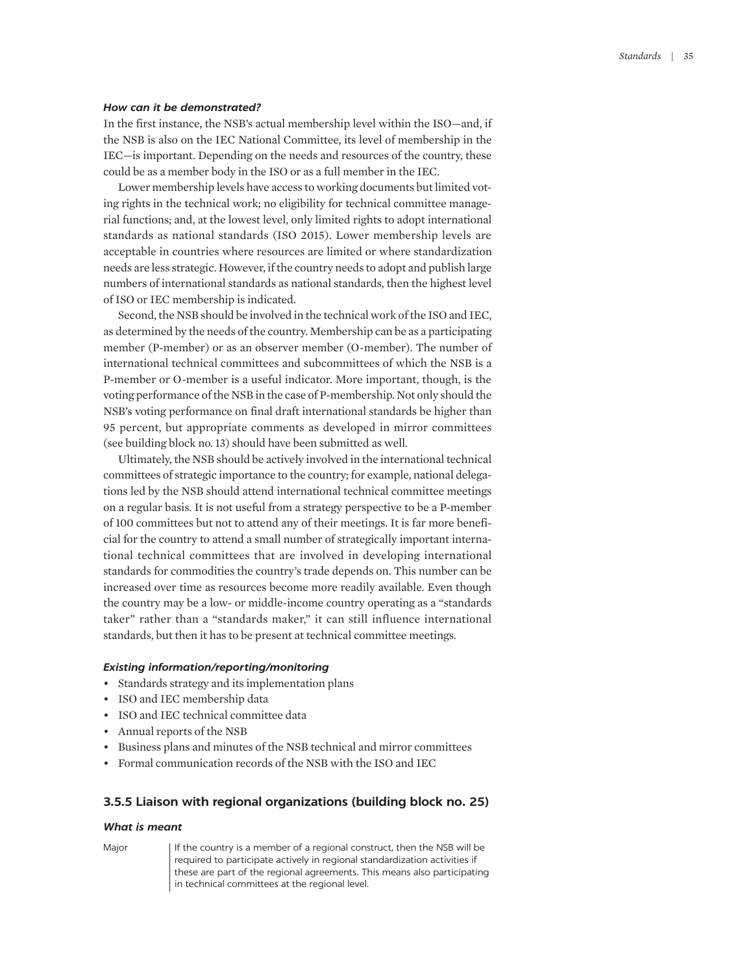#### *How can it be demonstrated?*

In the first instance, the NSB's actual membership level within the ISO—and, if the NSB is also on the IEC National Committee, its level of membership in the IEC—is important. Depending on the needs and resources of the country, these could be as a member body in the ISO or as a full member in the IEC.

Lower membership levels have access to working documents but limited voting rights in the technical work; no eligibility for technical committee managerial functions; and, at the lowest level, only limited rights to adopt international standards as national standards (ISO 2015). Lower membership levels are acceptable in countries where resources are limited or where standardization needs are less strategic. However, if the country needs to adopt and publish large numbers of international standards as national standards, then the highest level of ISO or IEC membership is indicated.

Second, the NSB should be involved in the technical work of the ISO and IEC, as determined by the needs of the country. Membership can be as a participating member (P-member) or as an observer member (O-member). The number of international technical committees and subcommittees of which the NSB is a P-member or O-member is a useful indicator. More important, though, is the voting performance of the NSB in the case of P-membership. Not only should the NSB's voting performance on final draft international standards be higher than 95 percent, but appropriate comments as developed in mirror committees (see building block no. 13) should have been submitted as well.

Ultimately, the NSB should be actively involved in the international technical committees of strategic importance to the country; for example, national delegations led by the NSB should attend international technical committee meetings on a regular basis. It is not useful from a strategy perspective to be a P-member of 100 committees but not to attend any of their meetings. It is far more beneficial for the country to attend a small number of strategically important international technical committees that are involved in developing international standards for commodities the country's trade depends on. This number can be increased over time as resources become more readily available. Even though the country may be a low- or middle-income country operating as a "standards taker" rather than a "standards maker," it can still influence international standards, but then it has to be present at technical committee meetings.

# *Existing information/reporting/monitoring*

- Standards strategy and its implementation plans
- ISO and IEC membership data
- ISO and IEC technical committee data
- Annual reports of the NSB
- Business plans and minutes of the NSB technical and mirror committees
- Formal communication records of the NSB with the ISO and IEC

### **3.5.5 Liaison with regional organizations (building block no. 25)**

#### *What is meant*

Major If the country is a member of a regional construct, then the NSB will be required to participate actively in regional standardization activities if these are part of the regional agreements. This means also participating in technical committees at the regional level.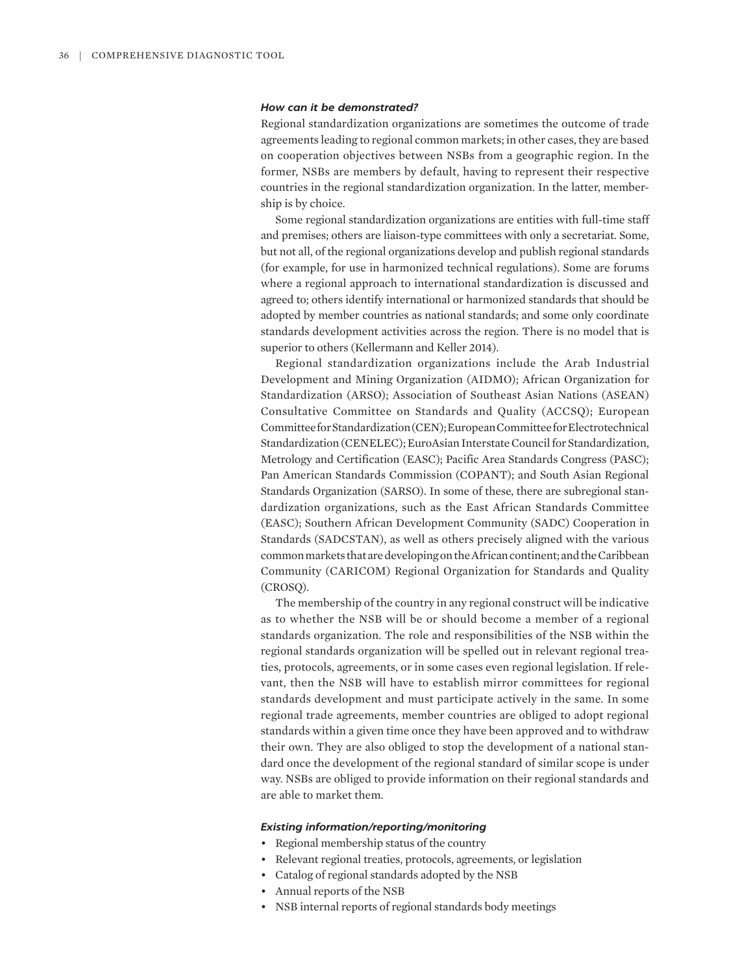#### *How can it be demonstrated?*

Regional standardization organizations are sometimes the outcome of trade agreements leading to regional common markets; in other cases, they are based on cooperation objectives between NSBs from a geographic region. In the former, NSBs are members by default, having to represent their respective countries in the regional standardization organization. In the latter, membership is by choice.

Some regional standardization organizations are entities with full-time staff and premises; others are liaison-type committees with only a secretariat. Some, but not all, of the regional organizations develop and publish regional standards (for example, for use in harmonized technical regulations). Some are forums where a regional approach to international standardization is discussed and agreed to; others identify international or harmonized standards that should be adopted by member countries as national standards; and some only coordinate standards development activities across the region. There is no model that is superior to others (Kellermann and Keller 2014).

Regional standardization organizations include the Arab Industrial Development and Mining Organization (AIDMO); African Organization for Standardization (ARSO); Association of Southeast Asian Nations (ASEAN) Consultative Committee on Standards and Quality (ACCSQ); European Committee for Standardization (CEN); European Committee for Electrotechnical Standardization (CENELEC); EuroAsian Interstate Council for Standardization, Metrology and Certification (EASC); Pacific Area Standards Congress (PASC); Pan American Standards Commission (COPANT); and South Asian Regional Standards Organization (SARSO). In some of these, there are subregional standardization organizations, such as the East African Standards Committee (EASC); Southern African Development Community (SADC) Cooperation in Standards (SADCSTAN), as well as others precisely aligned with the various common markets that are developing on the African continent; and the Caribbean Community (CARICOM) Regional Organization for Standards and Quality (CROSQ).

The membership of the country in any regional construct will be indicative as to whether the NSB will be or should become a member of a regional standards organization. The role and responsibilities of the NSB within the regional standards organization will be spelled out in relevant regional treaties, protocols, agreements, or in some cases even regional legislation. If relevant, then the NSB will have to establish mirror committees for regional standards development and must participate actively in the same. In some regional trade agreements, member countries are obliged to adopt regional standards within a given time once they have been approved and to withdraw their own. They are also obliged to stop the development of a national standard once the development of the regional standard of similar scope is under way. NSBs are obliged to provide information on their regional standards and are able to market them.

- Regional membership status of the country
- Relevant regional treaties, protocols, agreements, or legislation
- Catalog of regional standards adopted by the NSB
- Annual reports of the NSB
- NSB internal reports of regional standards body meetings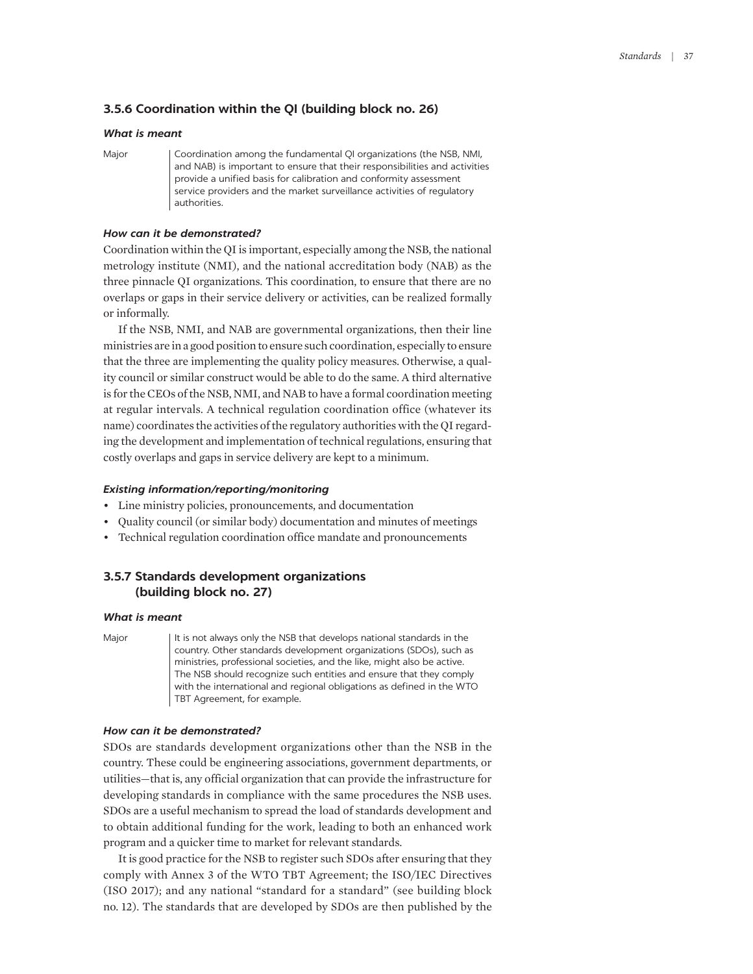# **3.5.6 Coordination within the QI (building block no. 26)**

## *What is meant*

Major | Coordination among the fundamental QI organizations (the NSB, NMI, and NAB) is important to ensure that their responsibilities and activities provide a unified basis for calibration and conformity assessment service providers and the market surveillance activities of regulatory authorities.

## *How can it be demonstrated?*

Coordination within the QI is important, especially among the NSB, the national metrology institute (NMI), and the national accreditation body (NAB) as the three pinnacle QI organizations. This coordination, to ensure that there are no overlaps or gaps in their service delivery or activities, can be realized formally or informally.

If the NSB, NMI, and NAB are governmental organizations, then their line ministries are in a good position to ensure such coordination, especially to ensure that the three are implementing the quality policy measures. Otherwise, a quality council or similar construct would be able to do the same. A third alternative is for the CEOs of the NSB, NMI, and NAB to have a formal coordination meeting at regular intervals. A technical regulation coordination office (whatever its name) coordinates the activities of the regulatory authorities with the QI regarding the development and implementation of technical regulations, ensuring that costly overlaps and gaps in service delivery are kept to a minimum.

#### *Existing information/reporting/monitoring*

- Line ministry policies, pronouncements, and documentation
- Quality council (or similar body) documentation and minutes of meetings
- Technical regulation coordination office mandate and pronouncements

# **3.5.7 Standards development organizations (building block no. 27)**

#### *What is meant*

Major It is not always only the NSB that develops national standards in the country. Other standards development organizations (SDOs), such as ministries, professional societies, and the like, might also be active. The NSB should recognize such entities and ensure that they comply with the international and regional obligations as defined in the WTO TBT Agreement, for example.

# *How can it be demonstrated?*

SDOs are standards development organizations other than the NSB in the country. These could be engineering associations, government departments, or utilities—that is, any official organization that can provide the infrastructure for developing standards in compliance with the same procedures the NSB uses. SDOs are a useful mechanism to spread the load of standards development and to obtain additional funding for the work, leading to both an enhanced work program and a quicker time to market for relevant standards.

It is good practice for the NSB to register such SDOs after ensuring that they comply with Annex 3 of the WTO TBT Agreement; the ISO/IEC Directives (ISO 2017); and any national "standard for a standard" (see building block no. 12). The standards that are developed by SDOs are then published by the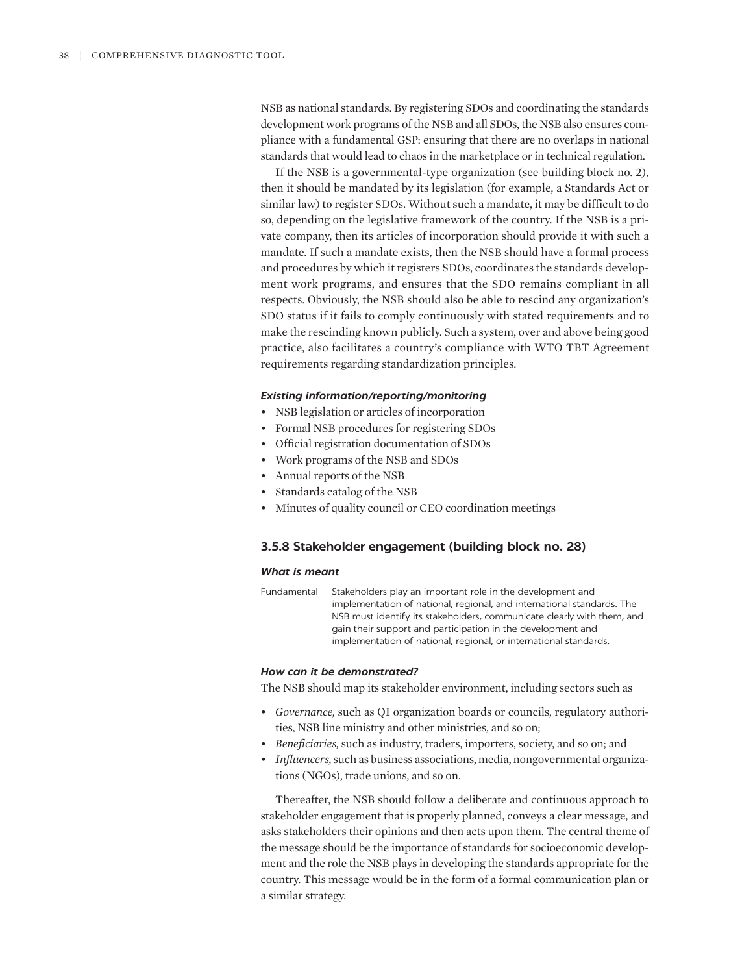NSB as national standards. By registering SDOs and coordinating the standards development work programs of the NSB and all SDOs, the NSB also ensures compliance with a fundamental GSP: ensuring that there are no overlaps in national standards that would lead to chaos in the marketplace or in technical regulation.

If the NSB is a governmental-type organization (see building block no. 2), then it should be mandated by its legislation (for example, a Standards Act or similar law) to register SDOs. Without such a mandate, it may be difficult to do so, depending on the legislative framework of the country. If the NSB is a private company, then its articles of incorporation should provide it with such a mandate. If such a mandate exists, then the NSB should have a formal process and procedures by which it registers SDOs, coordinates the standards development work programs, and ensures that the SDO remains compliant in all respects. Obviously, the NSB should also be able to rescind any organization's SDO status if it fails to comply continuously with stated requirements and to make the rescinding known publicly. Such a system, over and above being good practice, also facilitates a country's compliance with WTO TBT Agreement requirements regarding standardization principles.

#### *Existing information/reporting/monitoring*

- NSB legislation or articles of incorporation
- Formal NSB procedures for registering SDOs
- Official registration documentation of SDOs
- Work programs of the NSB and SDOs
- Annual reports of the NSB
- Standards catalog of the NSB
- Minutes of quality council or CEO coordination meetings

# **3.5.8 Stakeholder engagement (building block no. 28)**

#### *What is meant*

Fundamental | Stakeholders play an important role in the development and implementation of national, regional, and international standards. The NSB must identify its stakeholders, communicate clearly with them, and gain their support and participation in the development and implementation of national, regional, or international standards.

#### *How can it be demonstrated?*

The NSB should map its stakeholder environment, including sectors such as

- *Governance,* such as QI organization boards or councils, regulatory authorities, NSB line ministry and other ministries, and so on;
- *Beneficiaries,* such as industry, traders, importers, society, and so on; and
- *Influencers,* such as business associations, media, nongovernmental organizations (NGOs), trade unions, and so on.

Thereafter, the NSB should follow a deliberate and continuous approach to stakeholder engagement that is properly planned, conveys a clear message, and asks stakeholders their opinions and then acts upon them. The central theme of the message should be the importance of standards for socioeconomic development and the role the NSB plays in developing the standards appropriate for the country. This message would be in the form of a formal communication plan or a similar strategy.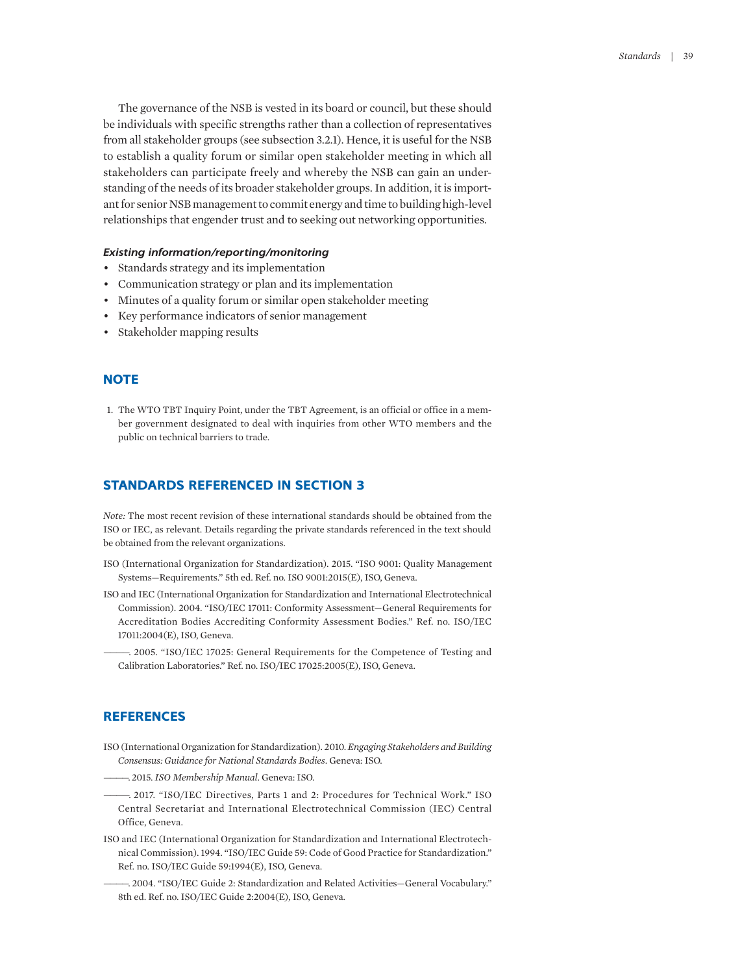The governance of the NSB is vested in its board or council, but these should be individuals with specific strengths rather than a collection of representatives from all stakeholder groups (see subsection 3.2.1). Hence, it is useful for the NSB to establish a quality forum or similar open stakeholder meeting in which all stakeholders can participate freely and whereby the NSB can gain an understanding of the needs of its broader stakeholder groups. In addition, it is important for senior NSB management to commit energy and time to building high-level relationships that engender trust and to seeking out networking opportunities.

#### *Existing information/reporting/monitoring*

- Standards strategy and its implementation
- Communication strategy or plan and its implementation
- Minutes of a quality forum or similar open stakeholder meeting
- Key performance indicators of senior management
- Stakeholder mapping results

# **NOTE**

<span id="page-26-0"></span>[1.](#page-20-0) [The WTO TBT](#page-20-0) [Inquiry Point, under the TBT Agreement,](#page-20-0) [is an official or](#page-20-0) [office in a](#page-20-0) [mem](#page-20-0)[ber government](#page-20-0) [designated](#page-20-0) [to deal with inquiries from](#page-20-0) [other WTO members and](#page-20-0) [the](#page-20-0) [public on technical barriers to](#page-20-0) [trade.](#page-20-0)

# **STANDARDS REFERENCED IN SECTION 3**

*Note:* The most recent revision of these international standards should be obtained from the ISO or IEC, as relevant. Details regarding the private standards referenced in the text should be obtained from the relevant organizations.

- ISO (International Organization for Standardization). 2015. "ISO 9001: Quality Management Systems—Requirements." 5th ed. Ref. no. ISO 9001:2015(E), ISO, Geneva.
- ISO and IEC (International Organization for Standardization and International Electrotechnical Commission). 2004. "ISO/IEC 17011: Conformity Assessment—General Requirements for Accreditation Bodies Accrediting Conformity Assessment Bodies." Ref. no. ISO/IEC 17011:2004(E), ISO, Geneva.
- ————. 2005. "ISO/IEC 17025: General Requirements for the Competence of Testing and Calibration Laboratories." Ref. no. ISO/IEC 17025:2005(E), ISO, Geneva.

# **REFERENCES**

- ISO (International Organization for Standardization). 2010. *Engaging Stakeholders and Building Consensus: Guidance for National Standards Bodies*. Geneva: ISO.
- ————. 2015. *ISO Membership Manual*. Geneva: ISO.
- ————. 2017. "ISO/IEC Directives, Parts 1 and 2: Procedures for Technical Work." ISO Central Secretariat and International Electrotechnical Commission (IEC) Central Office, Geneva.
- ISO and IEC (International Organization for Standardization and International Electrotechnical Commission). 1994. "ISO/IEC Guide 59: Code of Good Practice for Standardization." Ref. no. ISO/IEC Guide 59:1994(E), ISO, Geneva.
- ————. 2004. "ISO/IEC Guide 2: Standardization and Related Activities—General Vocabulary." 8th ed. Ref. no. ISO/IEC Guide 2:2004(E), ISO, Geneva.